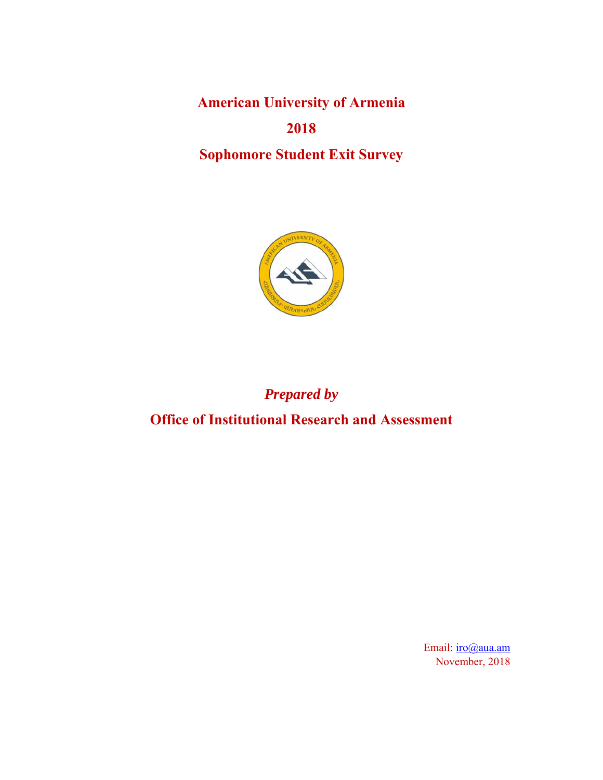**American University of Armenia 2018 Sophomore Student Exit Survey** 



# *Prepared by*

**Office of Institutional Research and Assessment** 

Email: iro@aua.am November, 2018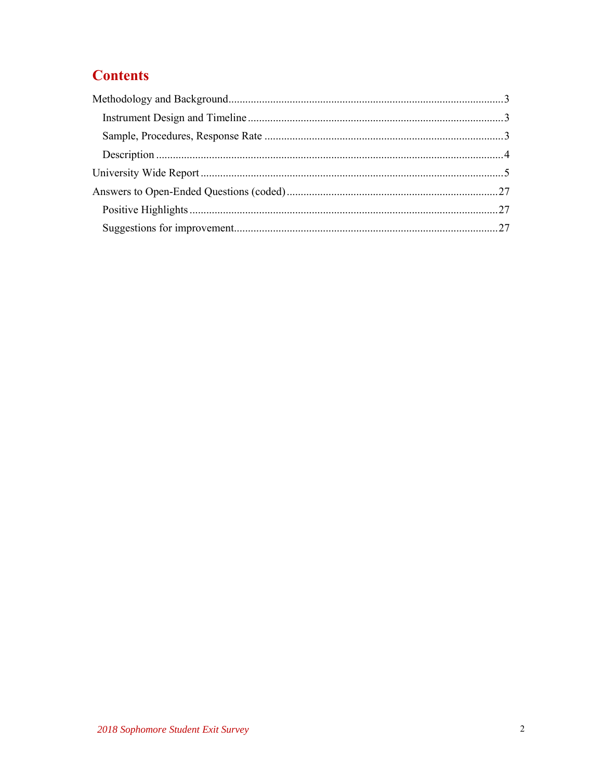# **Contents**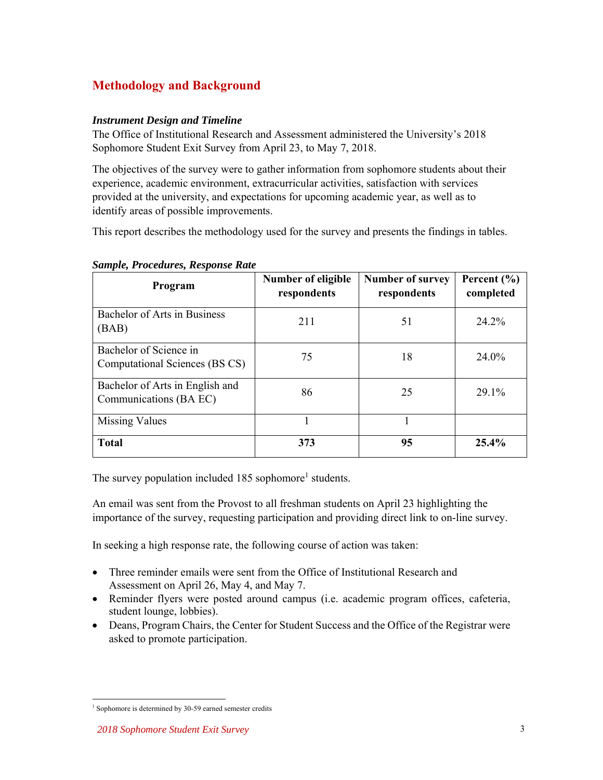## **Methodology and Background**

#### *Instrument Design and Timeline*

The Office of Institutional Research and Assessment administered the University's 2018 Sophomore Student Exit Survey from April 23, to May 7, 2018.

The objectives of the survey were to gather information from sophomore students about their experience, academic environment, extracurricular activities, satisfaction with services provided at the university, and expectations for upcoming academic year, as well as to identify areas of possible improvements.

This report describes the methodology used for the survey and presents the findings in tables.

| Program                                                   | <b>Number of eligible</b><br>respondents | <b>Number of survey</b><br>respondents | Percent $(\% )$<br>completed |
|-----------------------------------------------------------|------------------------------------------|----------------------------------------|------------------------------|
| <b>Bachelor of Arts in Business</b><br>(BAB)              | 211                                      | 51                                     | 24.2%                        |
| Bachelor of Science in<br>Computational Sciences (BS CS)  | 75                                       | 18                                     | 24.0%                        |
| Bachelor of Arts in English and<br>Communications (BA EC) | 86                                       | 25                                     | 29.1%                        |
| Missing Values                                            |                                          |                                        |                              |
| <b>Total</b>                                              | 373                                      | 95                                     | $25.4\%$                     |

*Sample, Procedures, Response Rate* 

The survey population included  $185$  sophomore<sup>1</sup> students.

An email was sent from the Provost to all freshman students on April 23 highlighting the importance of the survey, requesting participation and providing direct link to on-line survey.

In seeking a high response rate, the following course of action was taken:

- Three reminder emails were sent from the Office of Institutional Research and Assessment on April 26, May 4, and May 7.
- Reminder flyers were posted around campus (i.e. academic program offices, cafeteria, student lounge, lobbies).
- Deans, Program Chairs, the Center for Student Success and the Office of the Registrar were asked to promote participation.

 1 Sophomore is determined by 30-59 earned semester credits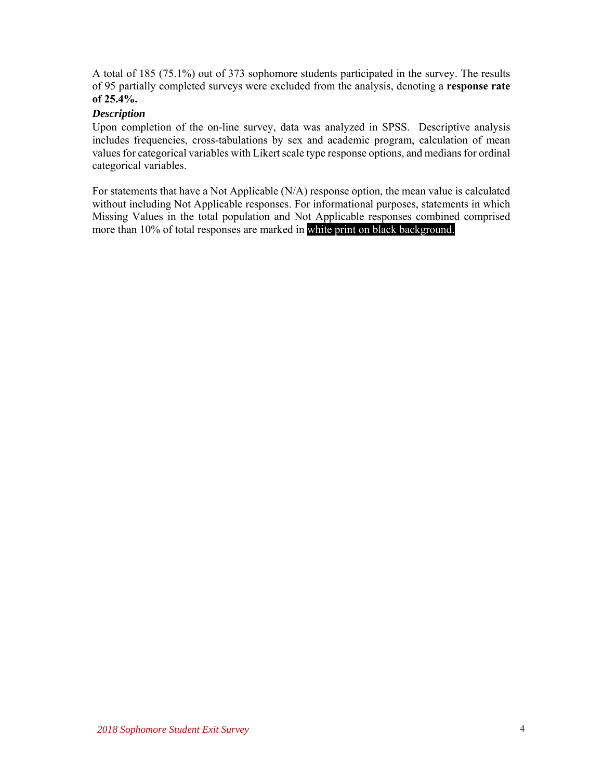A total of 185 (75.1%) out of 373 sophomore students participated in the survey. The results of 95 partially completed surveys were excluded from the analysis, denoting a **response rate of 25.4%.**

#### *Description*

Upon completion of the on-line survey, data was analyzed in SPSS. Descriptive analysis includes frequencies, cross-tabulations by sex and academic program, calculation of mean values for categorical variables with Likert scale type response options, and medians for ordinal categorical variables.

For statements that have a Not Applicable (N/A) response option, the mean value is calculated without including Not Applicable responses. For informational purposes, statements in which Missing Values in the total population and Not Applicable responses combined comprised more than 10% of total responses are marked in white print on black background.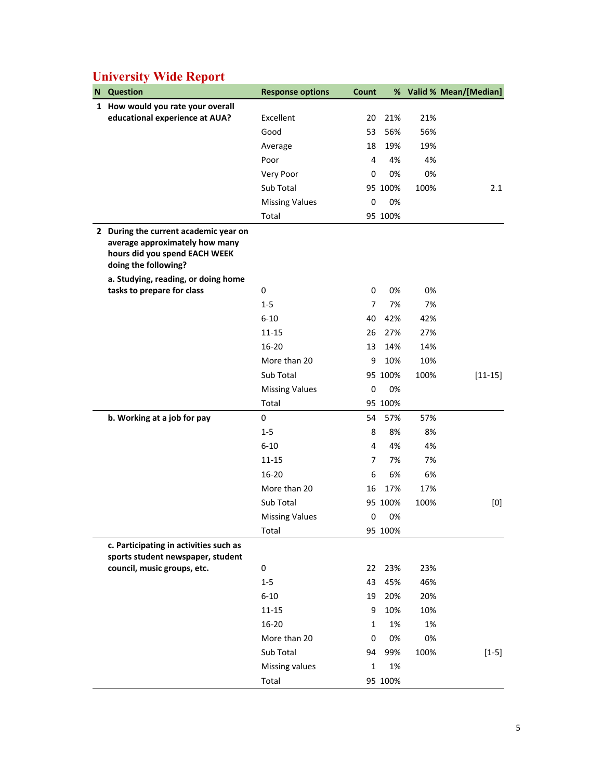| 1 How would you rate your overall<br>educational experience at AUA?<br>21%<br>21%<br>Excellent<br>20                             |             |
|----------------------------------------------------------------------------------------------------------------------------------|-------------|
|                                                                                                                                  |             |
|                                                                                                                                  |             |
| 56%<br>Good<br>53<br>56%                                                                                                         |             |
| 18<br>19%<br>19%<br>Average                                                                                                      |             |
| 4%<br>Poor<br>4<br>4%                                                                                                            |             |
| 0%<br>Very Poor<br>0<br>0%                                                                                                       |             |
| Sub Total<br>95 100%<br>100%                                                                                                     | 2.1         |
| 0%<br><b>Missing Values</b><br>0                                                                                                 |             |
| Total<br>95 100%                                                                                                                 |             |
| 2 During the current academic year on<br>average approximately how many<br>hours did you spend EACH WEEK<br>doing the following? |             |
| a. Studying, reading, or doing home                                                                                              |             |
| tasks to prepare for class<br>0<br>0%<br>0%<br>0                                                                                 |             |
| 7%<br>$1 - 5$<br>7<br>7%                                                                                                         |             |
| 42%<br>$6 - 10$<br>40<br>42%                                                                                                     |             |
| $11 - 15$<br>26<br>27%<br>27%                                                                                                    |             |
| $16 - 20$<br>14%<br>14%<br>13                                                                                                    |             |
| More than 20<br>9<br>10%<br>10%                                                                                                  |             |
| Sub Total<br>95 100%<br>100%                                                                                                     | $[11 - 15]$ |
| 0%<br><b>Missing Values</b><br>$\mathbf 0$                                                                                       |             |
| Total<br>95 100%                                                                                                                 |             |
| 0<br>57%<br>b. Working at a job for pay<br>54<br>57%                                                                             |             |
| $1 - 5$<br>8<br>8%<br>8%                                                                                                         |             |
| $6 - 10$<br>4<br>4%<br>4%                                                                                                        |             |
| $11 - 15$<br>7%<br>7%<br>7                                                                                                       |             |
| 6%<br>$16 - 20$<br>6<br>6%                                                                                                       |             |
| More than 20<br>16<br>17%<br>17%                                                                                                 |             |
| Sub Total<br>95 100%<br>100%                                                                                                     | [0]         |
| <b>Missing Values</b><br>$\mathbf 0$<br>0%                                                                                       |             |
| Total<br>95 100%                                                                                                                 |             |
| c. Participating in activities such as                                                                                           |             |
| sports student newspaper, student<br>council, music groups, etc.<br>23%<br>0<br>22<br>23%                                        |             |
| $1-5$<br>43<br>45%<br>46%                                                                                                        |             |
| $6 - 10$<br>19<br>20%<br>20%                                                                                                     |             |
| 10%<br>$11 - 15$<br>9<br>10%                                                                                                     |             |
| 16-20<br>1%<br>1%<br>$\mathbf{1}$                                                                                                |             |
| More than 20<br>0%<br>0%<br>0                                                                                                    |             |
| Sub Total<br>99%<br>94<br>100%                                                                                                   | $[1-5]$     |
| Missing values<br>$\mathbf{1}$<br>1%                                                                                             |             |
| Total<br>95 100%                                                                                                                 |             |

## **University Wide Report**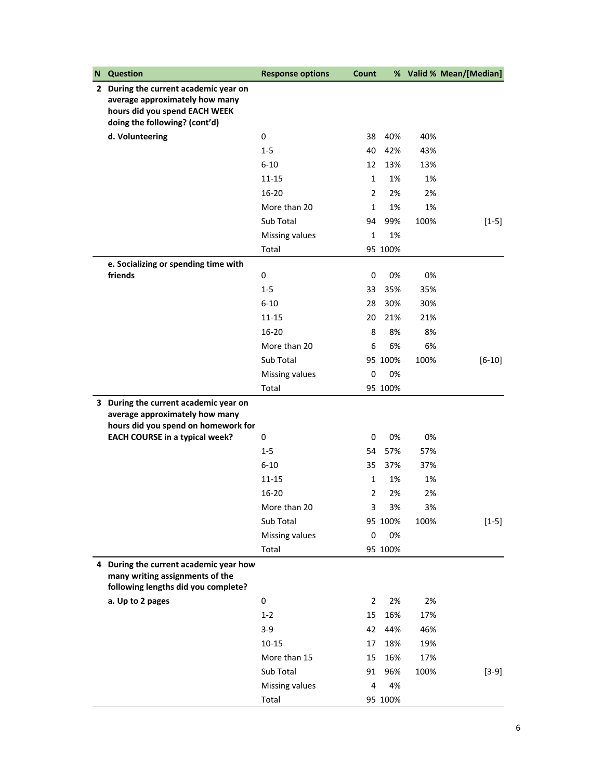| N | <b>Question</b>                                                                                                                           | <b>Response options</b> | Count          |         |      | % Valid % Mean/[Median] |
|---|-------------------------------------------------------------------------------------------------------------------------------------------|-------------------------|----------------|---------|------|-------------------------|
|   | 2 During the current academic year on<br>average approximately how many<br>hours did you spend EACH WEEK<br>doing the following? (cont'd) |                         |                |         |      |                         |
|   | d. Volunteering                                                                                                                           | 0                       | 38             | 40%     | 40%  |                         |
|   |                                                                                                                                           | $1-5$                   | 40             | 42%     | 43%  |                         |
|   |                                                                                                                                           | $6 - 10$                | 12             | 13%     | 13%  |                         |
|   |                                                                                                                                           | $11 - 15$               | $\mathbf{1}$   | 1%      | 1%   |                         |
|   |                                                                                                                                           | $16 - 20$               | $\overline{2}$ | 2%      | 2%   |                         |
|   |                                                                                                                                           | More than 20            | $\mathbf{1}$   | 1%      | 1%   |                         |
|   |                                                                                                                                           | Sub Total               | 94             | 99%     | 100% | $[1-5]$                 |
|   |                                                                                                                                           | Missing values          | $\mathbf 1$    | 1%      |      |                         |
|   |                                                                                                                                           | Total                   |                | 95 100% |      |                         |
|   | e. Socializing or spending time with                                                                                                      |                         |                |         |      |                         |
|   | friends                                                                                                                                   | 0                       | 0              | 0%      | 0%   |                         |
|   |                                                                                                                                           | $1-5$                   | 33             | 35%     | 35%  |                         |
|   |                                                                                                                                           | $6 - 10$                | 28             | 30%     | 30%  |                         |
|   |                                                                                                                                           | $11 - 15$               | 20             | 21%     | 21%  |                         |
|   |                                                                                                                                           | $16 - 20$               | 8              | 8%      | 8%   |                         |
|   |                                                                                                                                           | More than 20            | 6              | 6%      | 6%   |                         |
|   |                                                                                                                                           | Sub Total               |                | 95 100% | 100% | $[6 - 10]$              |
|   |                                                                                                                                           | Missing values          | 0              | 0%      |      |                         |
|   |                                                                                                                                           | Total                   |                | 95 100% |      |                         |
|   | 3 During the current academic year on<br>average approximately how many                                                                   |                         |                |         |      |                         |
|   | hours did you spend on homework for                                                                                                       |                         |                |         |      |                         |
|   | <b>EACH COURSE in a typical week?</b>                                                                                                     | 0                       | 0              | 0%      | 0%   |                         |
|   |                                                                                                                                           | $1 - 5$                 | 54             | 57%     | 57%  |                         |
|   |                                                                                                                                           | $6 - 10$                | 35             | 37%     | 37%  |                         |
|   |                                                                                                                                           | $11 - 15$               | $\mathbf{1}$   | 1%      | 1%   |                         |
|   |                                                                                                                                           | 16-20                   | 2              | 2%      | 2%   |                         |
|   |                                                                                                                                           | More than 20            | 3              | 3%      | 3%   |                         |
|   |                                                                                                                                           | Sub Total               |                | 95 100% | 100% | $[1 - 5]$               |
|   |                                                                                                                                           | Missing values          | 0              | 0%      |      |                         |
|   |                                                                                                                                           | Total                   |                | 95 100% |      |                         |
|   | 4 During the current academic year how<br>many writing assignments of the<br>following lengths did you complete?                          |                         |                |         |      |                         |
|   | a. Up to 2 pages                                                                                                                          | 0                       | 2              | 2%      | 2%   |                         |
|   |                                                                                                                                           | $1 - 2$                 | 15             | 16%     | 17%  |                         |
|   |                                                                                                                                           | $3 - 9$                 | 42             | 44%     | 46%  |                         |
|   |                                                                                                                                           | $10 - 15$               | 17             | 18%     | 19%  |                         |
|   |                                                                                                                                           | More than 15            | 15             | 16%     | 17%  |                         |
|   |                                                                                                                                           | Sub Total               | 91             | 96%     | 100% | $[3-9]$                 |
|   |                                                                                                                                           | Missing values          | 4              | 4%      |      |                         |
|   |                                                                                                                                           | Total                   |                | 95 100% |      |                         |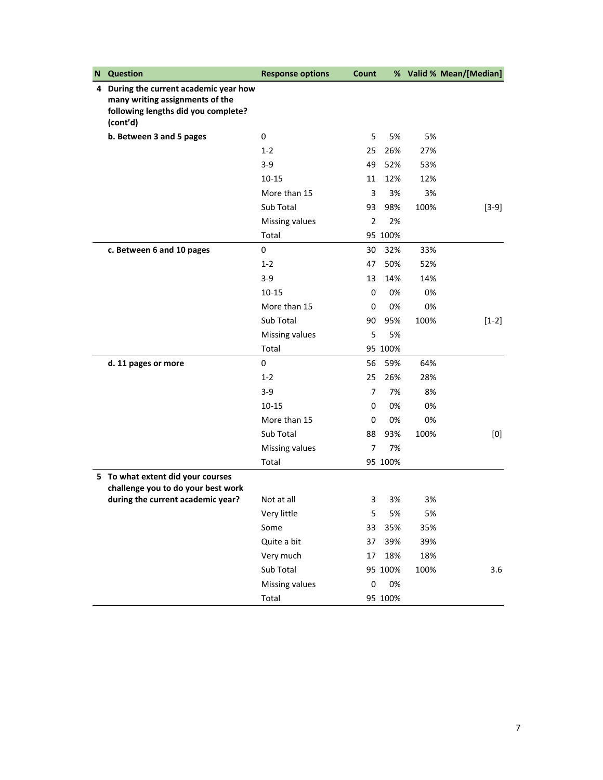| N | <b>Question</b>                                                                                                              | <b>Response options</b> | Count     |         |      | % Valid % Mean/[Median] |
|---|------------------------------------------------------------------------------------------------------------------------------|-------------------------|-----------|---------|------|-------------------------|
|   | 4 During the current academic year how<br>many writing assignments of the<br>following lengths did you complete?<br>(cont'd) |                         |           |         |      |                         |
|   | b. Between 3 and 5 pages                                                                                                     | 0                       | 5         | 5%      | 5%   |                         |
|   |                                                                                                                              | $1 - 2$                 | 25        | 26%     | 27%  |                         |
|   |                                                                                                                              | $3 - 9$                 | 49        | 52%     | 53%  |                         |
|   |                                                                                                                              | $10 - 15$               | 11        | 12%     | 12%  |                         |
|   |                                                                                                                              | More than 15            | 3         | 3%      | 3%   |                         |
|   |                                                                                                                              | Sub Total               | 93        | 98%     | 100% | $[3-9]$                 |
|   |                                                                                                                              | Missing values          | 2         | 2%      |      |                         |
|   |                                                                                                                              | Total                   |           | 95 100% |      |                         |
|   | c. Between 6 and 10 pages                                                                                                    | 0                       | 30        | 32%     | 33%  |                         |
|   |                                                                                                                              | $1 - 2$                 | 47        | 50%     | 52%  |                         |
|   |                                                                                                                              | $3 - 9$                 | 13        | 14%     | 14%  |                         |
|   |                                                                                                                              | $10 - 15$               | 0         | 0%      | 0%   |                         |
|   |                                                                                                                              | More than 15            | 0         | 0%      | 0%   |                         |
|   |                                                                                                                              | Sub Total               | 90        | 95%     | 100% | $[1-2]$                 |
|   |                                                                                                                              | Missing values          | 5         | 5%      |      |                         |
|   |                                                                                                                              | Total                   |           | 95 100% |      |                         |
|   | d. 11 pages or more                                                                                                          | 0                       | 56        | 59%     | 64%  |                         |
|   |                                                                                                                              | $1 - 2$                 | 25        | 26%     | 28%  |                         |
|   |                                                                                                                              | $3-9$                   | 7         | 7%      | 8%   |                         |
|   |                                                                                                                              | 10-15                   | 0         | 0%      | 0%   |                         |
|   |                                                                                                                              | More than 15            | 0         | 0%      | 0%   |                         |
|   |                                                                                                                              | Sub Total               | 88        | 93%     | 100% | [0]                     |
|   |                                                                                                                              | Missing values          | 7         | 7%      |      |                         |
|   |                                                                                                                              | Total                   |           | 95 100% |      |                         |
|   | 5 To what extent did your courses<br>challenge you to do your best work                                                      |                         |           |         |      |                         |
|   | during the current academic year?                                                                                            | Not at all              | 3         | 3%      | 3%   |                         |
|   |                                                                                                                              | Very little             | 5         | 5%      | 5%   |                         |
|   |                                                                                                                              | Some                    | 33        | 35%     | 35%  |                         |
|   |                                                                                                                              | Quite a bit             | 37        | 39%     | 39%  |                         |
|   |                                                                                                                              | Very much               | 17        | 18%     | 18%  |                         |
|   |                                                                                                                              | Sub Total               |           | 95 100% | 100% | 3.6                     |
|   |                                                                                                                              | Missing values          | $\pmb{0}$ | 0%      |      |                         |
|   |                                                                                                                              | Total                   |           | 95 100% |      |                         |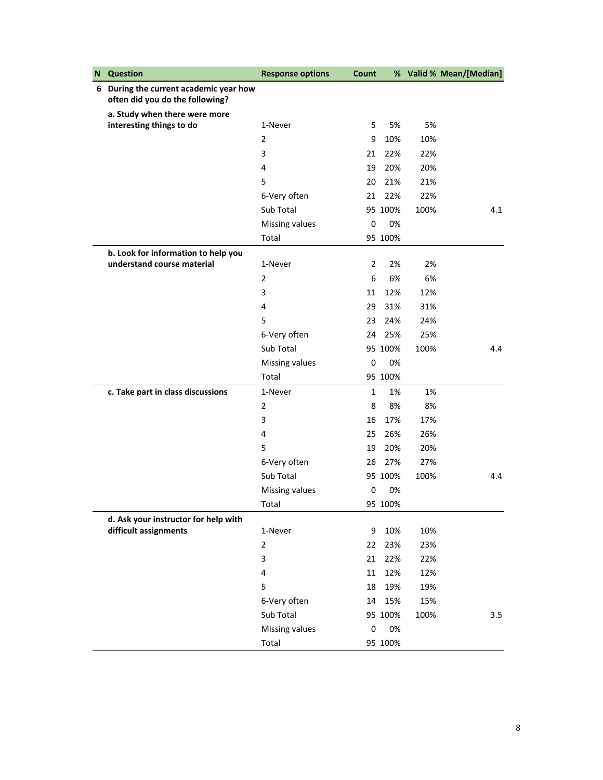| N | <b>Question</b>                                                           | <b>Response options</b> | Count        |         |      | % Valid % Mean/[Median] |
|---|---------------------------------------------------------------------------|-------------------------|--------------|---------|------|-------------------------|
|   | 6 During the current academic year how<br>often did you do the following? |                         |              |         |      |                         |
|   | a. Study when there were more                                             |                         |              |         |      |                         |
|   | interesting things to do                                                  | 1-Never                 | 5            | 5%      | 5%   |                         |
|   |                                                                           | $\overline{2}$          | 9            | 10%     | 10%  |                         |
|   |                                                                           | 3                       | 21           | 22%     | 22%  |                         |
|   |                                                                           | 4                       | 19           | 20%     | 20%  |                         |
|   |                                                                           | 5                       | 20           | 21%     | 21%  |                         |
|   |                                                                           | 6-Very often            | 21           | 22%     | 22%  |                         |
|   |                                                                           | Sub Total               |              | 95 100% | 100% | 4.1                     |
|   |                                                                           | Missing values          | 0            | 0%      |      |                         |
|   |                                                                           | Total                   |              | 95 100% |      |                         |
|   | b. Look for information to help you                                       |                         |              |         |      |                         |
|   | understand course material                                                | 1-Never                 | 2            | 2%      | 2%   |                         |
|   |                                                                           | $\overline{2}$          | 6            | 6%      | 6%   |                         |
|   |                                                                           | 3                       | 11           | 12%     | 12%  |                         |
|   |                                                                           | 4                       | 29           | 31%     | 31%  |                         |
|   |                                                                           | 5                       | 23           | 24%     | 24%  |                         |
|   |                                                                           | 6-Very often            | 24           | 25%     | 25%  |                         |
|   |                                                                           | Sub Total               |              | 95 100% | 100% | 4.4                     |
|   |                                                                           | Missing values          | 0            | 0%      |      |                         |
|   |                                                                           | Total                   |              | 95 100% |      |                         |
|   | c. Take part in class discussions                                         | 1-Never                 | $\mathbf{1}$ | 1%      | 1%   |                         |
|   |                                                                           | $\overline{2}$          | 8            | 8%      | 8%   |                         |
|   |                                                                           | 3                       | 16           | 17%     | 17%  |                         |
|   |                                                                           | 4                       | 25           | 26%     | 26%  |                         |
|   |                                                                           | 5                       | 19           | 20%     | 20%  |                         |
|   |                                                                           | 6-Very often            | 26           | 27%     | 27%  |                         |
|   |                                                                           | Sub Total               |              | 95 100% | 100% | 4.4                     |
|   |                                                                           | Missing values          | 0            | 0%      |      |                         |
|   |                                                                           | Total                   |              | 95 100% |      |                         |
|   | d. Ask your instructor for help with                                      |                         |              |         |      |                         |
|   | difficult assignments                                                     | 1-Never                 | 9            | 10%     | 10%  |                         |
|   |                                                                           | $\overline{2}$          | 22           | 23%     | 23%  |                         |
|   |                                                                           | 3                       | 21           | 22%     | 22%  |                         |
|   |                                                                           | $\overline{4}$          | 11           | 12%     | 12%  |                         |
|   |                                                                           | 5                       | 18           | 19%     | 19%  |                         |
|   |                                                                           | 6-Very often            | 14           | 15%     | 15%  |                         |
|   |                                                                           | Sub Total               |              | 95 100% | 100% | 3.5                     |
|   |                                                                           | Missing values          | 0            | 0%      |      |                         |
|   |                                                                           | Total                   |              | 95 100% |      |                         |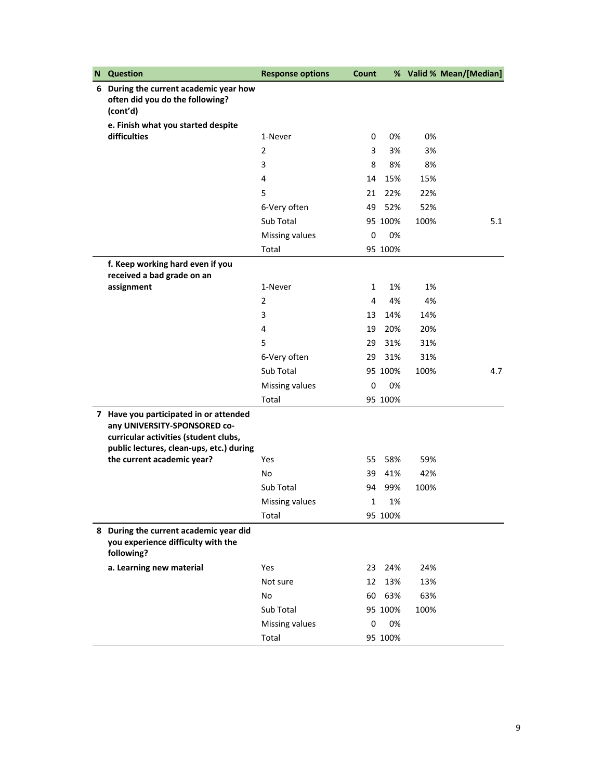| N | <b>Question</b>                                                                                                                                             | <b>Response options</b> | Count |         |      | % Valid % Mean/[Median] |
|---|-------------------------------------------------------------------------------------------------------------------------------------------------------------|-------------------------|-------|---------|------|-------------------------|
|   | 6 During the current academic year how<br>often did you do the following?<br>(cont'd)                                                                       |                         |       |         |      |                         |
|   | e. Finish what you started despite                                                                                                                          |                         |       |         |      |                         |
|   | difficulties                                                                                                                                                | 1-Never                 | 0     | 0%      | 0%   |                         |
|   |                                                                                                                                                             | 2                       | 3     | 3%      | 3%   |                         |
|   |                                                                                                                                                             | 3                       | 8     | 8%      | 8%   |                         |
|   |                                                                                                                                                             | 4                       | 14    | 15%     | 15%  |                         |
|   |                                                                                                                                                             | 5                       | 21    | 22%     | 22%  |                         |
|   |                                                                                                                                                             | 6-Very often            | 49    | 52%     | 52%  |                         |
|   |                                                                                                                                                             | Sub Total               |       | 95 100% | 100% | 5.1                     |
|   |                                                                                                                                                             | Missing values          | 0     | 0%      |      |                         |
|   |                                                                                                                                                             | Total                   |       | 95 100% |      |                         |
|   | f. Keep working hard even if you<br>received a bad grade on an                                                                                              |                         |       |         |      |                         |
|   | assignment                                                                                                                                                  | 1-Never                 | 1     | 1%      | 1%   |                         |
|   |                                                                                                                                                             | $\overline{2}$          | 4     | 4%      | 4%   |                         |
|   |                                                                                                                                                             | 3                       | 13    | 14%     | 14%  |                         |
|   |                                                                                                                                                             | 4                       | 19    | 20%     | 20%  |                         |
|   |                                                                                                                                                             | 5                       | 29    | 31%     | 31%  |                         |
|   |                                                                                                                                                             | 6-Very often            | 29    | 31%     | 31%  |                         |
|   |                                                                                                                                                             | Sub Total               |       | 95 100% | 100% | 4.7                     |
|   |                                                                                                                                                             | Missing values          | 0     | 0%      |      |                         |
|   |                                                                                                                                                             | Total                   |       | 95 100% |      |                         |
|   | 7 Have you participated in or attended<br>any UNIVERSITY-SPONSORED co-<br>curricular activities (student clubs,<br>public lectures, clean-ups, etc.) during |                         |       |         |      |                         |
|   | the current academic year?                                                                                                                                  | Yes                     | 55    | 58%     | 59%  |                         |
|   |                                                                                                                                                             | No                      | 39    | 41%     | 42%  |                         |
|   |                                                                                                                                                             | Sub Total               | 94    | 99%     | 100% |                         |
|   |                                                                                                                                                             | Missing values          | 1     | 1%      |      |                         |
|   |                                                                                                                                                             | Total                   |       | 95 100% |      |                         |
|   | 8 During the current academic year did<br>you experience difficulty with the<br>following?                                                                  |                         |       |         |      |                         |
|   | a. Learning new material                                                                                                                                    | Yes                     | 23    | 24%     | 24%  |                         |
|   |                                                                                                                                                             | Not sure                | 12    | 13%     | 13%  |                         |
|   |                                                                                                                                                             | No                      | 60    | 63%     | 63%  |                         |
|   |                                                                                                                                                             | Sub Total               |       | 95 100% | 100% |                         |
|   |                                                                                                                                                             | Missing values          | 0     | 0%      |      |                         |
|   |                                                                                                                                                             | Total                   |       | 95 100% |      |                         |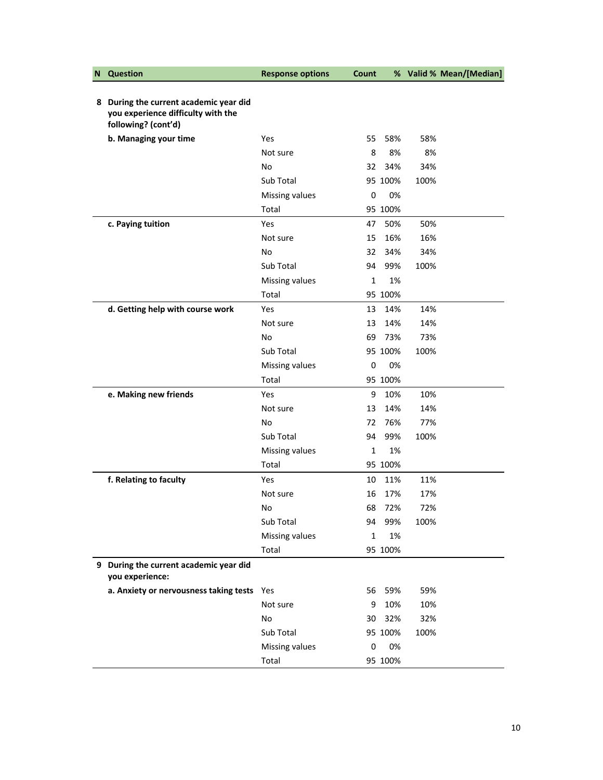| N | <b>Question</b>                                                                                     | <b>Response options</b> | Count        |         |      | % Valid % Mean/[Median] |
|---|-----------------------------------------------------------------------------------------------------|-------------------------|--------------|---------|------|-------------------------|
|   | 8 During the current academic year did<br>you experience difficulty with the<br>following? (cont'd) |                         |              |         |      |                         |
|   | b. Managing your time                                                                               | Yes                     | 55           | 58%     | 58%  |                         |
|   |                                                                                                     | Not sure                | 8            | 8%      | 8%   |                         |
|   |                                                                                                     | No                      | 32           | 34%     | 34%  |                         |
|   |                                                                                                     | Sub Total               |              | 95 100% | 100% |                         |
|   |                                                                                                     | Missing values          | 0            | 0%      |      |                         |
|   |                                                                                                     | Total                   |              | 95 100% |      |                         |
|   | c. Paying tuition                                                                                   | Yes                     | 47           | 50%     | 50%  |                         |
|   |                                                                                                     | Not sure                | 15           | 16%     | 16%  |                         |
|   |                                                                                                     | No                      | 32           | 34%     | 34%  |                         |
|   |                                                                                                     | Sub Total               | 94           | 99%     | 100% |                         |
|   |                                                                                                     | Missing values          | 1            | 1%      |      |                         |
|   |                                                                                                     | Total                   |              | 95 100% |      |                         |
|   | d. Getting help with course work                                                                    | Yes                     | 13           | 14%     | 14%  |                         |
|   |                                                                                                     | Not sure                | 13           | 14%     | 14%  |                         |
|   |                                                                                                     | No                      | 69           | 73%     | 73%  |                         |
|   |                                                                                                     | Sub Total               |              | 95 100% | 100% |                         |
|   |                                                                                                     | Missing values          | 0            | 0%      |      |                         |
|   |                                                                                                     | Total                   |              | 95 100% |      |                         |
|   | e. Making new friends                                                                               | Yes                     | 9            | 10%     | 10%  |                         |
|   |                                                                                                     | Not sure                | 13           | 14%     | 14%  |                         |
|   |                                                                                                     | No                      | 72           | 76%     | 77%  |                         |
|   |                                                                                                     | Sub Total               | 94           | 99%     | 100% |                         |
|   |                                                                                                     | Missing values          | 1            | 1%      |      |                         |
|   |                                                                                                     | Total                   |              | 95 100% |      |                         |
|   | f. Relating to faculty                                                                              | Yes                     | 10           | 11%     | 11%  |                         |
|   |                                                                                                     | Not sure                | 16           | 17%     | 17%  |                         |
|   |                                                                                                     | No                      |              | 68 72%  | 72%  |                         |
|   |                                                                                                     | Sub Total               | 94           | 99%     | 100% |                         |
|   |                                                                                                     | Missing values          | $\mathbf{1}$ | 1%      |      |                         |
|   |                                                                                                     | Total                   |              | 95 100% |      |                         |
|   | 9 During the current academic year did<br>you experience:                                           |                         |              |         |      |                         |
|   | a. Anxiety or nervousness taking tests                                                              | Yes                     | 56           | 59%     | 59%  |                         |
|   |                                                                                                     | Not sure                | 9            | 10%     | 10%  |                         |
|   |                                                                                                     | No                      | 30           | 32%     | 32%  |                         |
|   |                                                                                                     | Sub Total               |              | 95 100% | 100% |                         |
|   |                                                                                                     | Missing values          | 0            | 0%      |      |                         |
|   |                                                                                                     | Total                   |              | 95 100% |      |                         |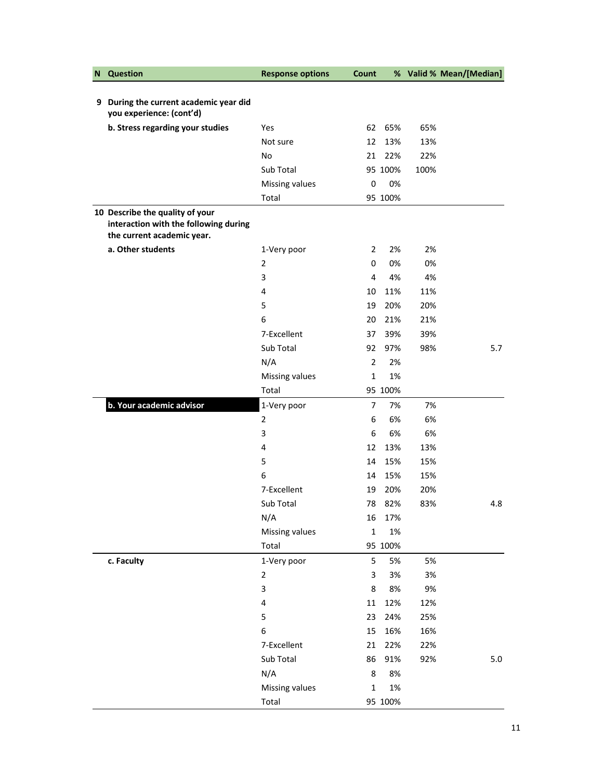| N | <b>Question</b>                                                                                        | <b>Response options</b> | Count          |         |      | % Valid % Mean/[Median] |
|---|--------------------------------------------------------------------------------------------------------|-------------------------|----------------|---------|------|-------------------------|
|   |                                                                                                        |                         |                |         |      |                         |
| 9 | During the current academic year did<br>you experience: (cont'd)                                       |                         |                |         |      |                         |
|   | b. Stress regarding your studies                                                                       | Yes                     | 62             | 65%     | 65%  |                         |
|   |                                                                                                        | Not sure                | 12             | 13%     | 13%  |                         |
|   |                                                                                                        | No                      | 21             | 22%     | 22%  |                         |
|   |                                                                                                        | Sub Total               |                | 95 100% | 100% |                         |
|   |                                                                                                        | Missing values          | 0              | 0%      |      |                         |
|   |                                                                                                        | Total                   |                | 95 100% |      |                         |
|   | 10 Describe the quality of your<br>interaction with the following during<br>the current academic year. |                         |                |         |      |                         |
|   | a. Other students                                                                                      | 1-Very poor             | 2              | 2%      | 2%   |                         |
|   |                                                                                                        | 2                       | 0              | 0%      | 0%   |                         |
|   |                                                                                                        | 3                       | 4              | 4%      | 4%   |                         |
|   |                                                                                                        | 4                       | 10             | 11%     | 11%  |                         |
|   |                                                                                                        | 5                       | 19             | 20%     | 20%  |                         |
|   |                                                                                                        | 6                       | 20             | 21%     | 21%  |                         |
|   |                                                                                                        | 7-Excellent             | 37             | 39%     | 39%  |                         |
|   |                                                                                                        | Sub Total               | 92             | 97%     | 98%  | 5.7                     |
|   |                                                                                                        | N/A                     | $\overline{2}$ | 2%      |      |                         |
|   |                                                                                                        | Missing values          | $\mathbf{1}$   | 1%      |      |                         |
|   |                                                                                                        | Total                   |                | 95 100% |      |                         |
|   | b. Your academic advisor                                                                               | 1-Very poor             | 7              | 7%      | 7%   |                         |
|   |                                                                                                        | $\overline{2}$          | 6              | 6%      | 6%   |                         |
|   |                                                                                                        | 3                       | 6              | 6%      | 6%   |                         |
|   |                                                                                                        | 4                       | 12             | 13%     | 13%  |                         |
|   |                                                                                                        | 5                       | 14             | 15%     | 15%  |                         |
|   |                                                                                                        | 6                       | 14             | 15%     | 15%  |                         |
|   |                                                                                                        | 7-Excellent             | 19             | 20%     | 20%  |                         |
|   |                                                                                                        | Sub Total               | 78             | 82%     | 83%  | 4.8                     |
|   |                                                                                                        | N/A                     | 16             | 17%     |      |                         |
|   |                                                                                                        | Missing values          | $\mathbf 1$    | 1%      |      |                         |
|   |                                                                                                        | Total                   |                | 95 100% |      |                         |
|   | c. Faculty                                                                                             | 1-Very poor             | 5              | 5%      | 5%   |                         |
|   |                                                                                                        | $\overline{2}$          | 3              | 3%      | 3%   |                         |
|   |                                                                                                        | 3                       | 8              | 8%      | 9%   |                         |
|   |                                                                                                        | 4                       | $11\,$         | 12%     | 12%  |                         |
|   |                                                                                                        | 5                       | 23             | 24%     | 25%  |                         |
|   |                                                                                                        | 6                       | 15             | 16%     | 16%  |                         |
|   |                                                                                                        | 7-Excellent             | 21             | 22%     | 22%  |                         |
|   |                                                                                                        | Sub Total               | 86             | 91%     | 92%  | 5.0                     |
|   |                                                                                                        | N/A                     | 8              | 8%      |      |                         |
|   |                                                                                                        | Missing values          | $\mathbf{1}$   | 1%      |      |                         |
|   |                                                                                                        | Total                   |                | 95 100% |      |                         |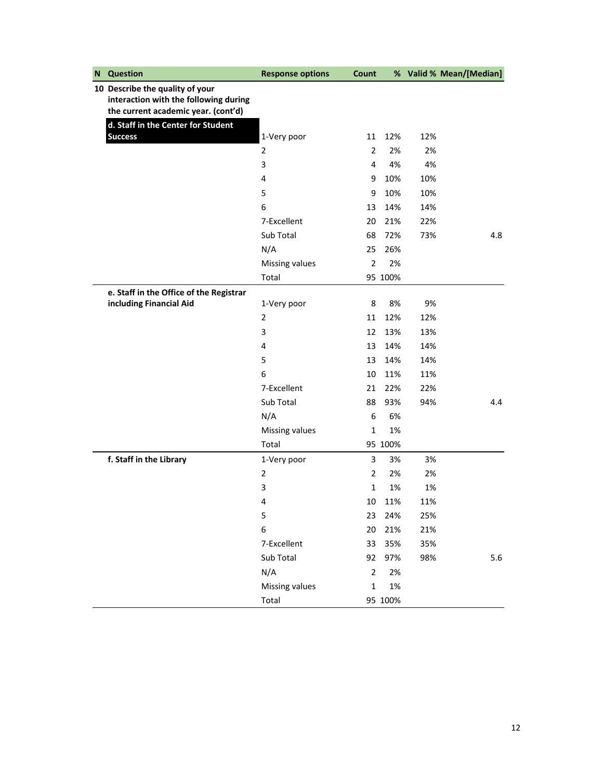| N | <b>Question</b>                                                                                                 | <b>Response options</b> | Count          |         |     | % Valid % Mean/[Median] |
|---|-----------------------------------------------------------------------------------------------------------------|-------------------------|----------------|---------|-----|-------------------------|
|   | 10 Describe the quality of your<br>interaction with the following during<br>the current academic year. (cont'd) |                         |                |         |     |                         |
|   | d. Staff in the Center for Student                                                                              |                         |                |         |     |                         |
|   | <b>Success</b>                                                                                                  | 1-Very poor             | 11             | 12%     | 12% |                         |
|   |                                                                                                                 | 2                       | $\overline{2}$ | 2%      | 2%  |                         |
|   |                                                                                                                 | 3                       | 4              | 4%      | 4%  |                         |
|   |                                                                                                                 | 4                       | 9              | 10%     | 10% |                         |
|   |                                                                                                                 | 5                       | 9              | 10%     | 10% |                         |
|   |                                                                                                                 | 6                       | 13             | 14%     | 14% |                         |
|   |                                                                                                                 | 7-Excellent             | 20             | 21%     | 22% |                         |
|   |                                                                                                                 | Sub Total               | 68             | 72%     | 73% | 4.8                     |
|   |                                                                                                                 | N/A                     | 25             | 26%     |     |                         |
|   |                                                                                                                 | Missing values          | $\overline{2}$ | 2%      |     |                         |
|   |                                                                                                                 | Total                   |                | 95 100% |     |                         |
|   | e. Staff in the Office of the Registrar                                                                         |                         |                |         |     |                         |
|   | including Financial Aid                                                                                         | 1-Very poor             | 8              | 8%      | 9%  |                         |
|   |                                                                                                                 | $\overline{2}$          | 11             | 12%     | 12% |                         |
|   |                                                                                                                 | 3                       | 12             | 13%     | 13% |                         |
|   |                                                                                                                 | 4                       | 13             | 14%     | 14% |                         |
|   |                                                                                                                 | 5                       | 13             | 14%     | 14% |                         |
|   |                                                                                                                 | 6                       | 10             | 11%     | 11% |                         |
|   |                                                                                                                 | 7-Excellent             | 21             | 22%     | 22% |                         |
|   |                                                                                                                 | Sub Total               | 88             | 93%     | 94% | 4.4                     |
|   |                                                                                                                 | N/A                     | 6              | 6%      |     |                         |
|   |                                                                                                                 | Missing values          | $\mathbf 1$    | 1%      |     |                         |
|   |                                                                                                                 | Total                   |                | 95 100% |     |                         |
|   | f. Staff in the Library                                                                                         | 1-Very poor             | 3              | 3%      | 3%  |                         |
|   |                                                                                                                 | 2                       | $\overline{2}$ | 2%      | 2%  |                         |
|   |                                                                                                                 | 3                       | 1              | 1%      | 1%  |                         |
|   |                                                                                                                 | 4                       | 10             | 11%     | 11% |                         |
|   |                                                                                                                 | 5                       | 23             | 24%     | 25% |                         |
|   |                                                                                                                 | 6                       | 20             | 21%     | 21% |                         |
|   |                                                                                                                 | 7-Excellent             | 33             | 35%     | 35% |                         |
|   |                                                                                                                 | Sub Total               | 92             | 97%     | 98% | 5.6                     |
|   |                                                                                                                 | N/A                     | $\overline{2}$ | 2%      |     |                         |
|   |                                                                                                                 | Missing values          | $\mathbf 1$    | 1%      |     |                         |
|   |                                                                                                                 | Total                   |                | 95 100% |     |                         |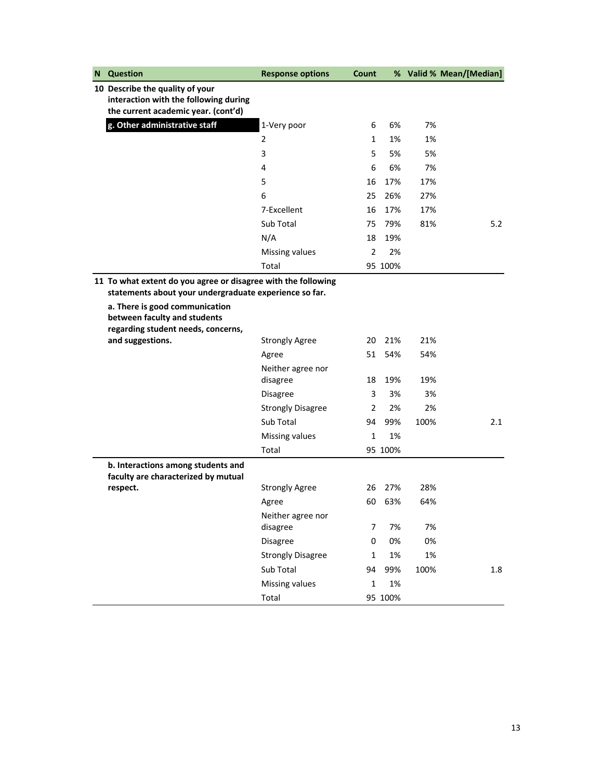| N | <b>Question</b>                                                                                                         | <b>Response options</b>       | Count          |         |      | % Valid % Mean/[Median] |
|---|-------------------------------------------------------------------------------------------------------------------------|-------------------------------|----------------|---------|------|-------------------------|
|   | 10 Describe the quality of your<br>interaction with the following during<br>the current academic year. (cont'd)         |                               |                |         |      |                         |
|   | g. Other administrative staff                                                                                           | 1-Very poor                   | 6              | 6%      | 7%   |                         |
|   |                                                                                                                         | 2                             | $\mathbf{1}$   | 1%      | 1%   |                         |
|   |                                                                                                                         | 3                             | 5              | 5%      | 5%   |                         |
|   |                                                                                                                         | 4                             | 6              | 6%      | 7%   |                         |
|   |                                                                                                                         | 5                             | 16             | 17%     | 17%  |                         |
|   |                                                                                                                         | 6                             | 25             | 26%     | 27%  |                         |
|   |                                                                                                                         | 7-Excellent                   | 16             | 17%     | 17%  |                         |
|   |                                                                                                                         | Sub Total                     | 75             | 79%     | 81%  | 5.2                     |
|   |                                                                                                                         | N/A                           | 18             | 19%     |      |                         |
|   |                                                                                                                         | Missing values                | $\overline{2}$ | 2%      |      |                         |
|   |                                                                                                                         | Total                         |                | 95 100% |      |                         |
|   | 11 To what extent do you agree or disagree with the following<br>statements about your undergraduate experience so far. |                               |                |         |      |                         |
|   | a. There is good communication<br>between faculty and students<br>regarding student needs, concerns,                    |                               |                |         |      |                         |
|   | and suggestions.                                                                                                        | <b>Strongly Agree</b>         | 20             | 21%     | 21%  |                         |
|   |                                                                                                                         | Agree                         | 51             | 54%     | 54%  |                         |
|   |                                                                                                                         | Neither agree nor             |                |         |      |                         |
|   |                                                                                                                         | disagree                      | 18             | 19%     | 19%  |                         |
|   |                                                                                                                         | <b>Disagree</b>               | 3              | 3%      | 3%   |                         |
|   |                                                                                                                         | <b>Strongly Disagree</b>      | 2              | 2%      | 2%   |                         |
|   |                                                                                                                         | Sub Total                     | 94             | 99%     | 100% | 2.1                     |
|   |                                                                                                                         | <b>Missing values</b>         | 1              | 1%      |      |                         |
|   |                                                                                                                         | Total                         |                | 95 100% |      |                         |
|   | b. Interactions among students and<br>faculty are characterized by mutual                                               |                               |                |         |      |                         |
|   | respect.                                                                                                                | <b>Strongly Agree</b>         | 26             | 27%     | 28%  |                         |
|   |                                                                                                                         | Agree                         | 60             | 63%     | 64%  |                         |
|   |                                                                                                                         | Neither agree nor<br>disagree | 7              | 7%      | 7%   |                         |
|   |                                                                                                                         | Disagree                      | 0              | 0%      | 0%   |                         |
|   |                                                                                                                         | <b>Strongly Disagree</b>      | $\mathbf{1}$   | 1%      | 1%   |                         |
|   |                                                                                                                         | Sub Total                     | 94             | 99%     | 100% | 1.8                     |
|   |                                                                                                                         | Missing values                | $\mathbf 1$    | 1%      |      |                         |
|   |                                                                                                                         | Total                         |                | 95 100% |      |                         |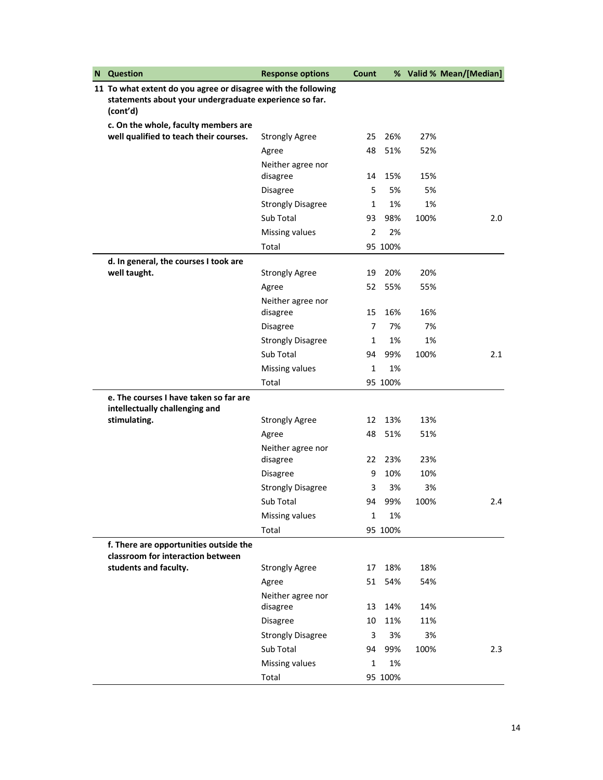| N | <b>Question</b>                                                             | <b>Response options</b>       | Count          |         |      | % Valid % Mean/[Median] |
|---|-----------------------------------------------------------------------------|-------------------------------|----------------|---------|------|-------------------------|
|   | 11 To what extent do you agree or disagree with the following               |                               |                |         |      |                         |
|   | statements about your undergraduate experience so far.<br>(cont'd)          |                               |                |         |      |                         |
|   | c. On the whole, faculty members are                                        |                               |                |         |      |                         |
|   | well qualified to teach their courses.                                      | <b>Strongly Agree</b>         | 25             | 26%     | 27%  |                         |
|   |                                                                             | Agree                         | 48             | 51%     | 52%  |                         |
|   |                                                                             | Neither agree nor<br>disagree | 14             | 15%     | 15%  |                         |
|   |                                                                             | Disagree                      | 5              | 5%      | 5%   |                         |
|   |                                                                             | <b>Strongly Disagree</b>      | 1              | 1%      | 1%   |                         |
|   |                                                                             | Sub Total                     | 93             | 98%     | 100% | 2.0                     |
|   |                                                                             | Missing values                | $\overline{2}$ | 2%      |      |                         |
|   |                                                                             | Total                         |                | 95 100% |      |                         |
|   | d. In general, the courses I took are                                       |                               |                |         |      |                         |
|   | well taught.                                                                | <b>Strongly Agree</b>         | 19             | 20%     | 20%  |                         |
|   |                                                                             | Agree                         | 52             | 55%     | 55%  |                         |
|   |                                                                             | Neither agree nor             |                |         |      |                         |
|   |                                                                             | disagree                      | 15             | 16%     | 16%  |                         |
|   |                                                                             | Disagree                      | 7              | 7%      | 7%   |                         |
|   |                                                                             | <b>Strongly Disagree</b>      | 1              | 1%      | 1%   |                         |
|   |                                                                             | Sub Total                     | 94             | 99%     | 100% | 2.1                     |
|   |                                                                             | Missing values                | $\mathbf{1}$   | 1%      |      |                         |
|   |                                                                             | Total                         |                | 95 100% |      |                         |
|   | e. The courses I have taken so far are<br>intellectually challenging and    |                               |                |         |      |                         |
|   | stimulating.                                                                | <b>Strongly Agree</b>         | 12             | 13%     | 13%  |                         |
|   |                                                                             | Agree                         | 48             | 51%     | 51%  |                         |
|   |                                                                             | Neither agree nor             |                |         |      |                         |
|   |                                                                             | disagree                      | 22             | 23%     | 23%  |                         |
|   |                                                                             | <b>Disagree</b>               | 9              | 10%     | 10%  |                         |
|   |                                                                             | <b>Strongly Disagree</b>      | 3              | 3%      | 3%   |                         |
|   |                                                                             | Sub Total                     | 94             | 99%     | 100% | 2.4                     |
|   |                                                                             | Missing values                | $\mathbf{1}$   | 1%      |      |                         |
|   |                                                                             | Total                         |                | 95 100% |      |                         |
|   | f. There are opportunities outside the<br>classroom for interaction between |                               |                |         |      |                         |
|   | students and faculty.                                                       | <b>Strongly Agree</b>         | 17             | 18%     | 18%  |                         |
|   |                                                                             | Agree                         | 51             | 54%     | 54%  |                         |
|   |                                                                             | Neither agree nor<br>disagree | 13             | 14%     | 14%  |                         |
|   |                                                                             | Disagree                      | 10             | 11%     | 11%  |                         |
|   |                                                                             | <b>Strongly Disagree</b>      | 3              | 3%      | 3%   |                         |
|   |                                                                             | Sub Total                     | 94             | 99%     | 100% | 2.3                     |
|   |                                                                             | Missing values                | $\mathbf{1}$   | 1%      |      |                         |
|   |                                                                             | Total                         |                | 95 100% |      |                         |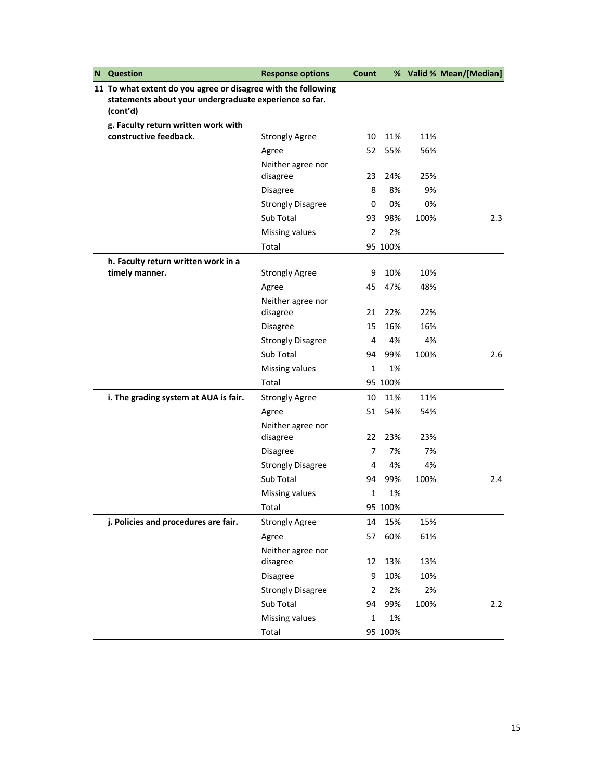| N | <b>Question</b>                                               | <b>Response options</b>       | Count          |         |      | % Valid % Mean/[Median] |
|---|---------------------------------------------------------------|-------------------------------|----------------|---------|------|-------------------------|
|   | 11 To what extent do you agree or disagree with the following |                               |                |         |      |                         |
|   | statements about your undergraduate experience so far.        |                               |                |         |      |                         |
|   | (cont'd)                                                      |                               |                |         |      |                         |
|   | g. Faculty return written work with<br>constructive feedback. | <b>Strongly Agree</b>         | 10             | 11%     | 11%  |                         |
|   |                                                               | Agree                         | 52             | 55%     | 56%  |                         |
|   |                                                               | Neither agree nor             |                |         |      |                         |
|   |                                                               | disagree                      | 23             | 24%     | 25%  |                         |
|   |                                                               | <b>Disagree</b>               | 8              | 8%      | 9%   |                         |
|   |                                                               | <b>Strongly Disagree</b>      | 0              | 0%      | 0%   |                         |
|   |                                                               | Sub Total                     | 93             | 98%     | 100% | 2.3                     |
|   |                                                               | Missing values                | $\overline{2}$ | 2%      |      |                         |
|   |                                                               | Total                         |                | 95 100% |      |                         |
|   | h. Faculty return written work in a                           |                               |                |         |      |                         |
|   | timely manner.                                                | <b>Strongly Agree</b>         | 9              | 10%     | 10%  |                         |
|   |                                                               | Agree                         | 45             | 47%     | 48%  |                         |
|   |                                                               | Neither agree nor             |                |         |      |                         |
|   |                                                               | disagree                      | 21             | 22%     | 22%  |                         |
|   |                                                               | <b>Disagree</b>               | 15             | 16%     | 16%  |                         |
|   |                                                               | <b>Strongly Disagree</b>      | 4              | 4%      | 4%   |                         |
|   |                                                               | Sub Total                     | 94             | 99%     | 100% | 2.6                     |
|   |                                                               | Missing values                | 1              | 1%      |      |                         |
|   |                                                               | Total                         |                | 95 100% |      |                         |
|   | i. The grading system at AUA is fair.                         | <b>Strongly Agree</b>         | 10             | 11%     | 11%  |                         |
|   |                                                               | Agree                         | 51             | 54%     | 54%  |                         |
|   |                                                               | Neither agree nor<br>disagree | 22             | 23%     | 23%  |                         |
|   |                                                               | <b>Disagree</b>               | 7              | 7%      | 7%   |                         |
|   |                                                               | <b>Strongly Disagree</b>      | 4              | 4%      | 4%   |                         |
|   |                                                               | Sub Total                     | 94             | 99%     | 100% | 2.4                     |
|   |                                                               | Missing values                | 1              | 1%      |      |                         |
|   |                                                               | Total                         |                | 95 100% |      |                         |
|   | j. Policies and procedures are fair.                          | <b>Strongly Agree</b>         | 14             | 15%     | 15%  |                         |
|   |                                                               | Agree                         | 57             | 60%     | 61%  |                         |
|   |                                                               | Neither agree nor             |                |         |      |                         |
|   |                                                               | disagree                      | 12             | 13%     | 13%  |                         |
|   |                                                               | Disagree                      | 9              | 10%     | 10%  |                         |
|   |                                                               | <b>Strongly Disagree</b>      | 2              | 2%      | 2%   |                         |
|   |                                                               | Sub Total                     | 94             | 99%     | 100% | 2.2                     |
|   |                                                               | Missing values                | 1              | 1%      |      |                         |
|   |                                                               | Total                         |                | 95 100% |      |                         |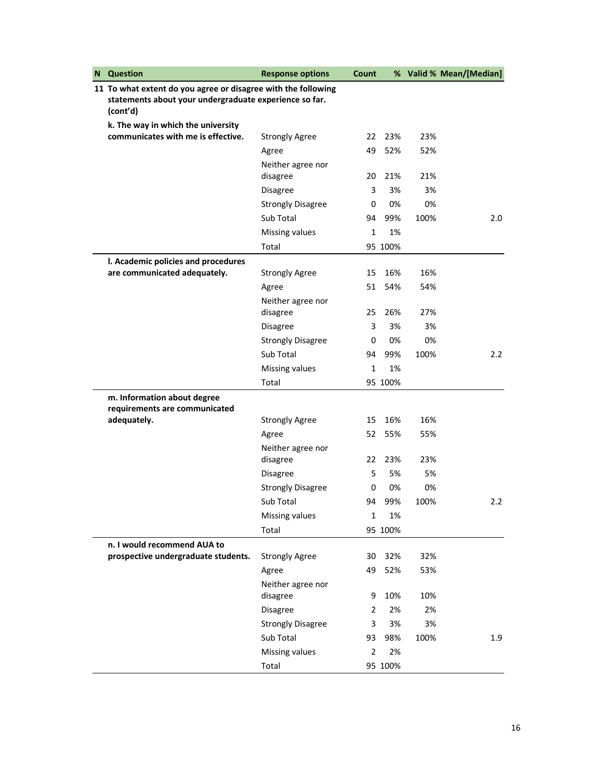| N | <b>Question</b>                                                    | <b>Response options</b>               | Count          |         |      | % Valid % Mean/[Median] |
|---|--------------------------------------------------------------------|---------------------------------------|----------------|---------|------|-------------------------|
|   | 11 To what extent do you agree or disagree with the following      |                                       |                |         |      |                         |
|   | statements about your undergraduate experience so far.<br>(cont'd) |                                       |                |         |      |                         |
|   | k. The way in which the university                                 |                                       |                |         |      |                         |
|   | communicates with me is effective.                                 | <b>Strongly Agree</b>                 | 22             | 23%     | 23%  |                         |
|   |                                                                    | Agree                                 | 49             | 52%     | 52%  |                         |
|   |                                                                    | Neither agree nor                     |                |         |      |                         |
|   |                                                                    | disagree                              | 20             | 21%     | 21%  |                         |
|   |                                                                    | Disagree                              | 3              | 3%      | 3%   |                         |
|   |                                                                    | <b>Strongly Disagree</b>              | 0              | 0%      | 0%   |                         |
|   |                                                                    | Sub Total                             | 94             | 99%     | 100% | 2.0                     |
|   |                                                                    | Missing values                        | $\mathbf{1}$   | 1%      |      |                         |
|   |                                                                    | Total                                 |                | 95 100% |      |                         |
|   | I. Academic policies and procedures                                |                                       |                |         |      |                         |
|   | are communicated adequately.                                       | <b>Strongly Agree</b>                 | 15             | 16%     | 16%  |                         |
|   |                                                                    | Agree                                 | 51             | 54%     | 54%  |                         |
|   |                                                                    | Neither agree nor                     | 25             | 26%     | 27%  |                         |
|   |                                                                    | disagree                              | 3              | 3%      | 3%   |                         |
|   |                                                                    | Disagree                              | 0              | 0%      | 0%   |                         |
|   |                                                                    | <b>Strongly Disagree</b><br>Sub Total | 94             | 99%     | 100% | $2.2\phantom{0}$        |
|   |                                                                    |                                       |                |         |      |                         |
|   |                                                                    | Missing values                        | $\mathbf{1}$   | 1%      |      |                         |
|   |                                                                    | Total                                 |                | 95 100% |      |                         |
|   | m. Information about degree<br>requirements are communicated       |                                       |                |         |      |                         |
|   | adequately.                                                        | <b>Strongly Agree</b>                 | 15             | 16%     | 16%  |                         |
|   |                                                                    | Agree                                 | 52             | 55%     | 55%  |                         |
|   |                                                                    | Neither agree nor                     |                |         |      |                         |
|   |                                                                    | disagree                              | 22             | 23%     | 23%  |                         |
|   |                                                                    | <b>Disagree</b>                       | 5              | 5%      | 5%   |                         |
|   |                                                                    | <b>Strongly Disagree</b>              | 0              | 0%      | 0%   |                         |
|   |                                                                    | Sub Total                             | 94             | 99%     | 100% | 2.2                     |
|   |                                                                    | Missing values                        | $\mathbf{1}$   | 1%      |      |                         |
|   |                                                                    | Total                                 |                | 95 100% |      |                         |
|   | n. I would recommend AUA to                                        |                                       |                |         |      |                         |
|   | prospective undergraduate students.                                | <b>Strongly Agree</b>                 | 30             | 32%     | 32%  |                         |
|   |                                                                    | Agree                                 | 49             | 52%     | 53%  |                         |
|   |                                                                    | Neither agree nor                     |                |         |      |                         |
|   |                                                                    | disagree                              | 9              | 10%     | 10%  |                         |
|   |                                                                    | Disagree                              | $\overline{2}$ | 2%      | 2%   |                         |
|   |                                                                    | <b>Strongly Disagree</b>              | 3              | 3%      | 3%   |                         |
|   |                                                                    | Sub Total                             | 93             | 98%     | 100% | 1.9                     |
|   |                                                                    | Missing values                        | $\overline{2}$ | 2%      |      |                         |
|   |                                                                    | Total                                 |                | 95 100% |      |                         |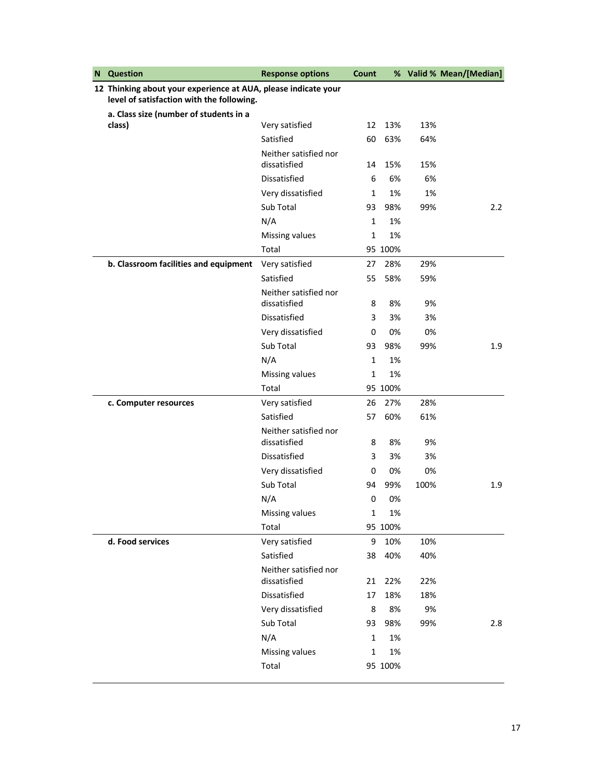| N | <b>Question</b>                                                                                             | <b>Response options</b>               | Count        |         |      | % Valid % Mean/[Median] |
|---|-------------------------------------------------------------------------------------------------------------|---------------------------------------|--------------|---------|------|-------------------------|
|   | 12 Thinking about your experience at AUA, please indicate your<br>level of satisfaction with the following. |                                       |              |         |      |                         |
|   | a. Class size (number of students in a                                                                      |                                       |              |         |      |                         |
|   | class)                                                                                                      | Very satisfied                        | 12           | 13%     | 13%  |                         |
|   |                                                                                                             | Satisfied                             | 60           | 63%     | 64%  |                         |
|   |                                                                                                             | Neither satisfied nor<br>dissatisfied | 14           | 15%     | 15%  |                         |
|   |                                                                                                             | Dissatisfied                          | 6            | 6%      | 6%   |                         |
|   |                                                                                                             | Very dissatisfied                     | $\mathbf{1}$ | 1%      | 1%   |                         |
|   |                                                                                                             | Sub Total                             | 93           | 98%     | 99%  | 2.2                     |
|   |                                                                                                             | N/A                                   | 1            | 1%      |      |                         |
|   |                                                                                                             | Missing values                        | 1            | 1%      |      |                         |
|   |                                                                                                             | Total                                 |              | 95 100% |      |                         |
|   | b. Classroom facilities and equipment                                                                       | Very satisfied                        | 27           | 28%     | 29%  |                         |
|   |                                                                                                             | Satisfied                             | 55           | 58%     | 59%  |                         |
|   |                                                                                                             | Neither satisfied nor<br>dissatisfied | 8            | 8%      | 9%   |                         |
|   |                                                                                                             | Dissatisfied                          | 3            | 3%      | 3%   |                         |
|   |                                                                                                             | Very dissatisfied                     | 0            | 0%      | 0%   |                         |
|   |                                                                                                             | Sub Total                             | 93           | 98%     | 99%  | 1.9                     |
|   |                                                                                                             | N/A                                   | 1            | 1%      |      |                         |
|   |                                                                                                             | Missing values                        | 1            | 1%      |      |                         |
|   |                                                                                                             | Total                                 |              | 95 100% |      |                         |
|   | c. Computer resources                                                                                       | Very satisfied                        | 26           | 27%     | 28%  |                         |
|   |                                                                                                             | Satisfied                             | 57           | 60%     | 61%  |                         |
|   |                                                                                                             | Neither satisfied nor<br>dissatisfied | 8            | 8%      | 9%   |                         |
|   |                                                                                                             | Dissatisfied                          | 3            | 3%      | 3%   |                         |
|   |                                                                                                             | Very dissatisfied                     | 0            | 0%      | 0%   |                         |
|   |                                                                                                             | Sub Total                             | 94           | 99%     | 100% | 1.9                     |
|   |                                                                                                             | N/A                                   | 0            | 0%      |      |                         |
|   |                                                                                                             | Missing values                        | 1            | 1%      |      |                         |
|   |                                                                                                             | Total                                 |              | 95 100% |      |                         |
|   | d. Food services                                                                                            | Very satisfied                        | 9            | 10%     | 10%  |                         |
|   |                                                                                                             | Satisfied                             | 38           | 40%     | 40%  |                         |
|   |                                                                                                             | Neither satisfied nor<br>dissatisfied | 21           | 22%     | 22%  |                         |
|   |                                                                                                             | Dissatisfied                          | 17           | 18%     | 18%  |                         |
|   |                                                                                                             | Very dissatisfied                     | 8            | 8%      | 9%   |                         |
|   |                                                                                                             | Sub Total                             | 93           | 98%     | 99%  | 2.8                     |
|   |                                                                                                             | N/A                                   | $\mathbf{1}$ | 1%      |      |                         |
|   |                                                                                                             | Missing values                        | 1            | 1%      |      |                         |
|   |                                                                                                             | Total                                 |              | 95 100% |      |                         |
|   |                                                                                                             |                                       |              |         |      |                         |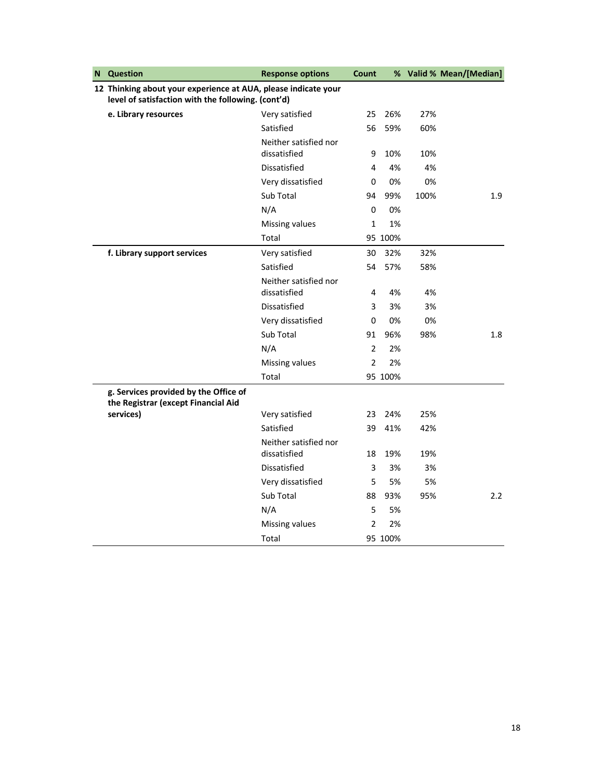| N | <b>Question</b>                                                                                                      | <b>Response options</b>               | Count          |         |      | % Valid % Mean/[Median] |
|---|----------------------------------------------------------------------------------------------------------------------|---------------------------------------|----------------|---------|------|-------------------------|
|   | 12 Thinking about your experience at AUA, please indicate your<br>level of satisfaction with the following. (cont'd) |                                       |                |         |      |                         |
|   | e. Library resources                                                                                                 | Very satisfied                        | 25             | 26%     | 27%  |                         |
|   |                                                                                                                      | Satisfied                             | 56             | 59%     | 60%  |                         |
|   |                                                                                                                      | Neither satisfied nor                 |                |         |      |                         |
|   |                                                                                                                      | dissatisfied                          | 9              | 10%     | 10%  |                         |
|   |                                                                                                                      | <b>Dissatisfied</b>                   | 4              | 4%      | 4%   |                         |
|   |                                                                                                                      | Very dissatisfied                     | 0              | 0%      | 0%   |                         |
|   |                                                                                                                      | Sub Total                             | 94             | 99%     | 100% | 1.9                     |
|   |                                                                                                                      | N/A                                   | 0              | 0%      |      |                         |
|   |                                                                                                                      | Missing values                        | 1              | 1%      |      |                         |
|   |                                                                                                                      | Total                                 |                | 95 100% |      |                         |
|   | f. Library support services                                                                                          | Very satisfied                        | 30             | 32%     | 32%  |                         |
|   |                                                                                                                      | Satisfied                             | 54             | 57%     | 58%  |                         |
|   |                                                                                                                      | Neither satisfied nor<br>dissatisfied | 4              | 4%      | 4%   |                         |
|   |                                                                                                                      | Dissatisfied                          | 3              | 3%      | 3%   |                         |
|   |                                                                                                                      | Very dissatisfied                     | 0              | 0%      | 0%   |                         |
|   |                                                                                                                      | Sub Total                             | 91             | 96%     | 98%  | 1.8                     |
|   |                                                                                                                      | N/A                                   | $\overline{2}$ | 2%      |      |                         |
|   |                                                                                                                      | Missing values                        | $\overline{2}$ | 2%      |      |                         |
|   |                                                                                                                      | Total                                 |                | 95 100% |      |                         |
|   | g. Services provided by the Office of<br>the Registrar (except Financial Aid                                         |                                       |                |         |      |                         |
|   | services)                                                                                                            | Very satisfied                        | 23             | 24%     | 25%  |                         |
|   |                                                                                                                      | Satisfied                             | 39             | 41%     | 42%  |                         |
|   |                                                                                                                      | Neither satisfied nor<br>dissatisfied | 18             | 19%     | 19%  |                         |
|   |                                                                                                                      | Dissatisfied                          | 3              | 3%      | 3%   |                         |
|   |                                                                                                                      | Very dissatisfied                     | 5              | 5%      | 5%   |                         |
|   |                                                                                                                      | Sub Total                             | 88             | 93%     | 95%  | 2.2                     |
|   |                                                                                                                      | N/A                                   | 5              | 5%      |      |                         |
|   |                                                                                                                      | Missing values                        | $\overline{2}$ | 2%      |      |                         |
|   |                                                                                                                      | Total                                 |                | 95 100% |      |                         |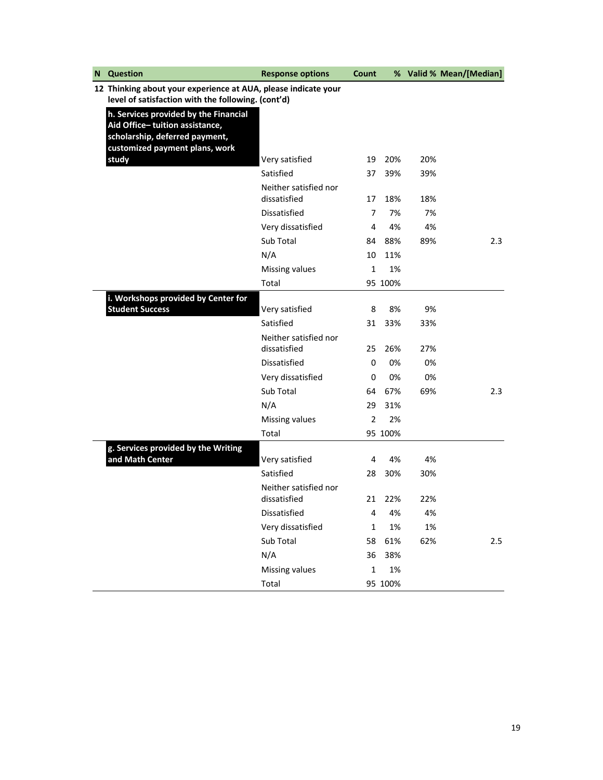| N | Question                                                                                                                                    | <b>Response options</b>               | Count          |         |     | % Valid % Mean/[Median] |
|---|---------------------------------------------------------------------------------------------------------------------------------------------|---------------------------------------|----------------|---------|-----|-------------------------|
|   | 12 Thinking about your experience at AUA, please indicate your                                                                              |                                       |                |         |     |                         |
|   | level of satisfaction with the following. (cont'd)                                                                                          |                                       |                |         |     |                         |
|   | h. Services provided by the Financial<br>Aid Office-tuition assistance,<br>scholarship, deferred payment,<br>customized payment plans, work |                                       |                |         |     |                         |
|   | study                                                                                                                                       | Very satisfied                        | 19             | 20%     | 20% |                         |
|   |                                                                                                                                             | Satisfied                             | 37             | 39%     | 39% |                         |
|   |                                                                                                                                             | Neither satisfied nor<br>dissatisfied | 17             | 18%     | 18% |                         |
|   |                                                                                                                                             | Dissatisfied                          | 7              | 7%      | 7%  |                         |
|   |                                                                                                                                             | Very dissatisfied                     | 4              | 4%      | 4%  |                         |
|   |                                                                                                                                             | Sub Total                             | 84             | 88%     | 89% | 2.3                     |
|   |                                                                                                                                             | N/A                                   | 10             | 11%     |     |                         |
|   |                                                                                                                                             | Missing values                        | 1              | 1%      |     |                         |
|   |                                                                                                                                             | Total                                 |                | 95 100% |     |                         |
|   | i. Workshops provided by Center for<br><b>Student Success</b>                                                                               | Very satisfied                        | 8              | 8%      | 9%  |                         |
|   |                                                                                                                                             | Satisfied                             | 31             | 33%     | 33% |                         |
|   |                                                                                                                                             | Neither satisfied nor<br>dissatisfied | 25             | 26%     | 27% |                         |
|   |                                                                                                                                             | Dissatisfied                          | 0              | 0%      | 0%  |                         |
|   |                                                                                                                                             | Very dissatisfied                     | 0              | 0%      | 0%  |                         |
|   |                                                                                                                                             | Sub Total                             | 64             | 67%     | 69% | 2.3                     |
|   |                                                                                                                                             | N/A                                   | 29             | 31%     |     |                         |
|   |                                                                                                                                             | Missing values                        | $\overline{2}$ | 2%      |     |                         |
|   |                                                                                                                                             | Total                                 |                | 95 100% |     |                         |
|   | g. Services provided by the Writing                                                                                                         |                                       |                |         |     |                         |
|   | and Math Center                                                                                                                             | Very satisfied                        | 4              | 4%      | 4%  |                         |
|   |                                                                                                                                             | Satisfied                             | 28             | 30%     | 30% |                         |
|   |                                                                                                                                             | Neither satisfied nor<br>dissatisfied | 21             | 22%     | 22% |                         |
|   |                                                                                                                                             | Dissatisfied                          | 4              | 4%      | 4%  |                         |
|   |                                                                                                                                             | Very dissatisfied                     | 1              | 1%      | 1%  |                         |
|   |                                                                                                                                             | Sub Total                             | 58             | 61%     | 62% | 2.5                     |
|   |                                                                                                                                             | N/A                                   | 36             | 38%     |     |                         |
|   |                                                                                                                                             | Missing values                        | $\mathbf 1$    | 1%      |     |                         |
|   |                                                                                                                                             | Total                                 |                | 95 100% |     |                         |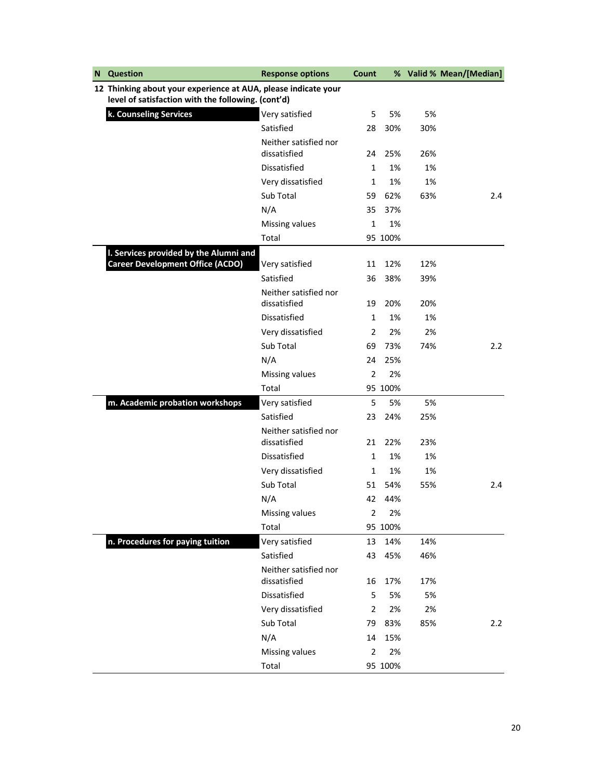| N | <b>Question</b>                                                | <b>Response options</b>               | Count          |         |     | % Valid % Mean/[Median] |
|---|----------------------------------------------------------------|---------------------------------------|----------------|---------|-----|-------------------------|
|   | 12 Thinking about your experience at AUA, please indicate your |                                       |                |         |     |                         |
|   | level of satisfaction with the following. (cont'd)             |                                       |                |         |     |                         |
|   | k. Counseling Services                                         | Very satisfied                        | 5              | 5%      | 5%  |                         |
|   |                                                                | Satisfied                             | 28             | 30%     | 30% |                         |
|   |                                                                | Neither satisfied nor                 |                |         |     |                         |
|   |                                                                | dissatisfied                          | 24             | 25%     | 26% |                         |
|   |                                                                | Dissatisfied                          | $\mathbf{1}$   | 1%      | 1%  |                         |
|   |                                                                | Very dissatisfied                     | 1              | 1%      | 1%  |                         |
|   |                                                                | Sub Total                             | 59             | 62%     | 63% | 2.4                     |
|   |                                                                | N/A                                   | 35             | 37%     |     |                         |
|   |                                                                | Missing values                        | $\mathbf{1}$   | 1%      |     |                         |
|   |                                                                | Total                                 |                | 95 100% |     |                         |
|   | I. Services provided by the Alumni and                         |                                       |                |         |     |                         |
|   | <b>Career Development Office (ACDO)</b>                        | Very satisfied                        | 11             | 12%     | 12% |                         |
|   |                                                                | Satisfied                             | 36             | 38%     | 39% |                         |
|   |                                                                | Neither satisfied nor                 |                |         |     |                         |
|   |                                                                | dissatisfied                          | 19             | 20%     | 20% |                         |
|   |                                                                | Dissatisfied                          | 1              | 1%      | 1%  |                         |
|   |                                                                | Very dissatisfied                     | $\overline{2}$ | 2%      | 2%  |                         |
|   |                                                                | Sub Total                             | 69             | 73%     | 74% | 2.2                     |
|   |                                                                | N/A                                   | 24             | 25%     |     |                         |
|   |                                                                | Missing values                        | $\overline{2}$ | 2%      |     |                         |
|   |                                                                | Total                                 |                | 95 100% |     |                         |
|   | m. Academic probation workshops                                | Very satisfied                        | 5              | 5%      | 5%  |                         |
|   |                                                                | Satisfied                             | 23             | 24%     | 25% |                         |
|   |                                                                | Neither satisfied nor<br>dissatisfied | 21             | 22%     | 23% |                         |
|   |                                                                | Dissatisfied                          | 1              | 1%      | 1%  |                         |
|   |                                                                | Very dissatisfied                     | 1              | 1%      | 1%  |                         |
|   |                                                                | Sub Total                             | 51             | 54%     | 55% | 2.4                     |
|   |                                                                | N/A                                   | 42             | 44%     |     |                         |
|   |                                                                | Missing values                        | 2              | 2%      |     |                         |
|   |                                                                | Total                                 |                | 95 100% |     |                         |
|   | n. Procedures for paying tuition                               | Very satisfied                        | 13             | 14%     | 14% |                         |
|   |                                                                | Satisfied                             | 43             | 45%     | 46% |                         |
|   |                                                                | Neither satisfied nor                 |                |         |     |                         |
|   |                                                                | dissatisfied                          | 16             | 17%     | 17% |                         |
|   |                                                                | Dissatisfied                          | 5              | 5%      | 5%  |                         |
|   |                                                                | Very dissatisfied                     | $\overline{2}$ | 2%      | 2%  |                         |
|   |                                                                | Sub Total                             | 79             | 83%     | 85% | 2.2                     |
|   |                                                                | N/A                                   | 14             | 15%     |     |                         |
|   |                                                                | Missing values                        | $\overline{2}$ | 2%      |     |                         |
|   |                                                                | Total                                 |                | 95 100% |     |                         |
|   |                                                                |                                       |                |         |     |                         |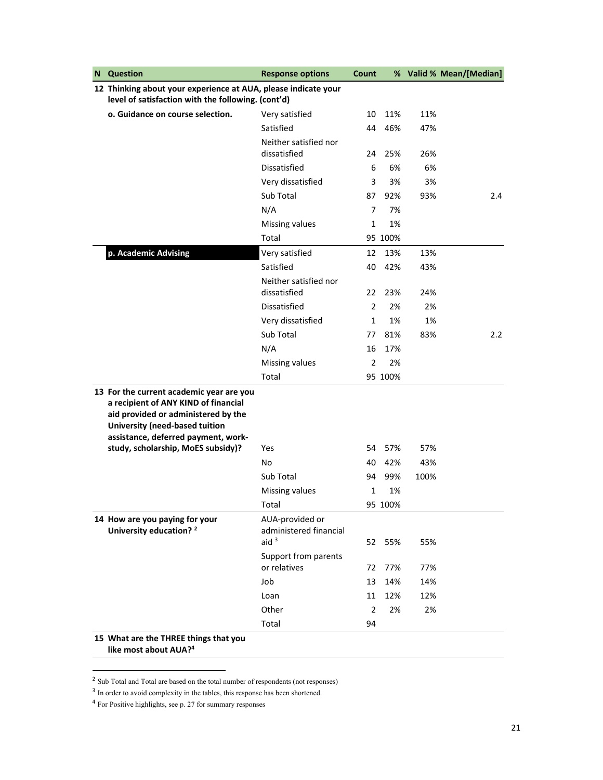| N | <b>Question</b>                                                                                                                                                                                  | <b>Response options</b>                              | Count          |         |      | % Valid % Mean/[Median] |
|---|--------------------------------------------------------------------------------------------------------------------------------------------------------------------------------------------------|------------------------------------------------------|----------------|---------|------|-------------------------|
|   | 12 Thinking about your experience at AUA, please indicate your                                                                                                                                   |                                                      |                |         |      |                         |
|   | level of satisfaction with the following. (cont'd)                                                                                                                                               |                                                      |                |         |      |                         |
|   | o. Guidance on course selection.                                                                                                                                                                 | Very satisfied                                       | 10             | 11%     | 11%  |                         |
|   |                                                                                                                                                                                                  | Satisfied                                            | 44             | 46%     | 47%  |                         |
|   |                                                                                                                                                                                                  | Neither satisfied nor                                |                |         |      |                         |
|   |                                                                                                                                                                                                  | dissatisfied                                         | 24             | 25%     | 26%  |                         |
|   |                                                                                                                                                                                                  | Dissatisfied                                         | 6              | 6%      | 6%   |                         |
|   |                                                                                                                                                                                                  | Very dissatisfied                                    | 3              | 3%      | 3%   |                         |
|   |                                                                                                                                                                                                  | Sub Total                                            | 87             | 92%     | 93%  | 2.4                     |
|   |                                                                                                                                                                                                  | N/A                                                  | 7              | 7%      |      |                         |
|   |                                                                                                                                                                                                  | Missing values                                       | 1              | 1%      |      |                         |
|   |                                                                                                                                                                                                  | Total                                                |                | 95 100% |      |                         |
|   | p. Academic Advising                                                                                                                                                                             | Very satisfied                                       | 12             | 13%     | 13%  |                         |
|   |                                                                                                                                                                                                  | Satisfied                                            | 40             | 42%     | 43%  |                         |
|   |                                                                                                                                                                                                  | Neither satisfied nor                                |                |         |      |                         |
|   |                                                                                                                                                                                                  | dissatisfied                                         | 22             | 23%     | 24%  |                         |
|   |                                                                                                                                                                                                  | Dissatisfied                                         | $\overline{2}$ | 2%      | 2%   |                         |
|   |                                                                                                                                                                                                  | Very dissatisfied                                    | $\mathbf{1}$   | 1%      | 1%   |                         |
|   |                                                                                                                                                                                                  | Sub Total                                            | 77             | 81%     | 83%  | $2.2\phantom{0}$        |
|   |                                                                                                                                                                                                  | N/A                                                  | 16             | 17%     |      |                         |
|   |                                                                                                                                                                                                  | Missing values                                       | $\overline{2}$ | 2%      |      |                         |
|   |                                                                                                                                                                                                  | Total                                                |                | 95 100% |      |                         |
|   | 13 For the current academic year are you<br>a recipient of ANY KIND of financial<br>aid provided or administered by the<br>University (need-based tuition<br>assistance, deferred payment, work- |                                                      |                |         |      |                         |
|   | study, scholarship, MoES subsidy)?                                                                                                                                                               | Yes                                                  | 54             | 57%     | 57%  |                         |
|   |                                                                                                                                                                                                  | No                                                   | 40             | 42%     | 43%  |                         |
|   |                                                                                                                                                                                                  | Sub Total                                            | 94             | 99%     | 100% |                         |
|   |                                                                                                                                                                                                  | Missing values                                       | $\mathbf{1}$   | 1%      |      |                         |
|   |                                                                                                                                                                                                  | Total                                                |                | 95 100% |      |                         |
|   | 14 How are you paying for your<br>University education? <sup>2</sup>                                                                                                                             | AUA-provided or<br>administered financial<br>aid $3$ | 52             | 55%     | 55%  |                         |
|   |                                                                                                                                                                                                  | Support from parents<br>or relatives                 | 72             | 77%     | 77%  |                         |
|   |                                                                                                                                                                                                  | Job                                                  | 13             | 14%     | 14%  |                         |
|   |                                                                                                                                                                                                  | Loan                                                 | 11             | 12%     | 12%  |                         |
|   |                                                                                                                                                                                                  | Other                                                | $\overline{2}$ | 2%      | 2%   |                         |
|   |                                                                                                                                                                                                  | Total                                                | 94             |         |      |                         |
|   | 15 What are the THREE things that you<br>like most about AUA? <sup>4</sup>                                                                                                                       |                                                      |                |         |      |                         |

<sup>&</sup>lt;sup>2</sup> Sub Total and Total are based on the total number of respondents (not responses)

<sup>&</sup>lt;sup>3</sup> In order to avoid complexity in the tables, this response has been shortened.

<sup>4</sup> For Positive highlights, see p. 27 for summary responses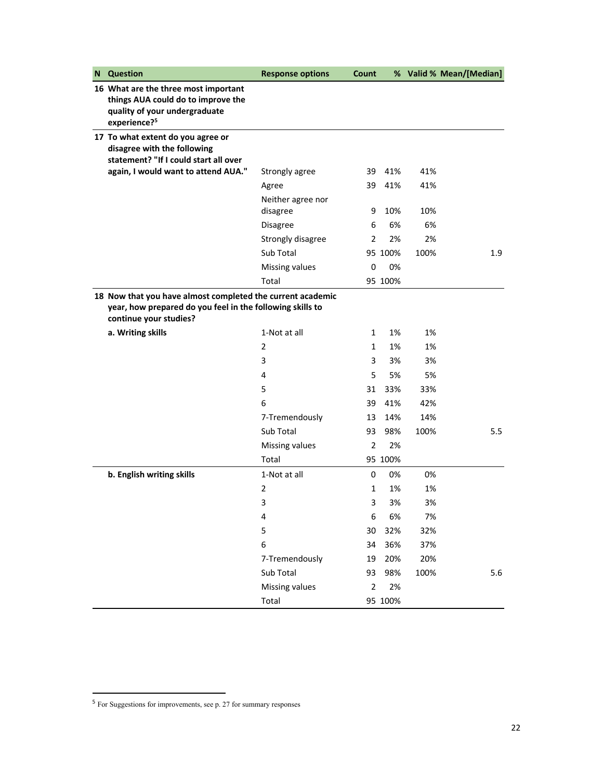| N | <b>Question</b>                                                                                                                                   | <b>Response options</b>       | Count          |         |      | % Valid % Mean/[Median] |
|---|---------------------------------------------------------------------------------------------------------------------------------------------------|-------------------------------|----------------|---------|------|-------------------------|
|   | 16 What are the three most important<br>things AUA could do to improve the<br>quality of your undergraduate<br>experience? <sup>5</sup>           |                               |                |         |      |                         |
|   | 17 To what extent do you agree or<br>disagree with the following<br>statement? "If I could start all over                                         |                               |                |         |      |                         |
|   | again, I would want to attend AUA."                                                                                                               | Strongly agree                | 39             | 41%     | 41%  |                         |
|   |                                                                                                                                                   | Agree                         | 39             | 41%     | 41%  |                         |
|   |                                                                                                                                                   | Neither agree nor<br>disagree | 9              | 10%     | 10%  |                         |
|   |                                                                                                                                                   | <b>Disagree</b>               | 6              | 6%      | 6%   |                         |
|   |                                                                                                                                                   | Strongly disagree             | 2              | 2%      | 2%   |                         |
|   |                                                                                                                                                   | Sub Total                     |                | 95 100% | 100% | 1.9                     |
|   |                                                                                                                                                   | Missing values                | 0              | 0%      |      |                         |
|   |                                                                                                                                                   | Total                         |                | 95 100% |      |                         |
|   | 18 Now that you have almost completed the current academic<br>year, how prepared do you feel in the following skills to<br>continue your studies? |                               |                |         |      |                         |
|   | a. Writing skills                                                                                                                                 | 1-Not at all                  | 1              | 1%      | 1%   |                         |
|   |                                                                                                                                                   | 2                             | $\mathbf{1}$   | 1%      | 1%   |                         |
|   |                                                                                                                                                   | 3                             | 3              | 3%      | 3%   |                         |
|   |                                                                                                                                                   | 4                             | 5              | 5%      | 5%   |                         |
|   |                                                                                                                                                   | 5                             | 31             | 33%     | 33%  |                         |
|   |                                                                                                                                                   | 6                             | 39             | 41%     | 42%  |                         |
|   |                                                                                                                                                   | 7-Tremendously                | 13             | 14%     | 14%  |                         |
|   |                                                                                                                                                   | Sub Total                     | 93             | 98%     | 100% | 5.5                     |
|   |                                                                                                                                                   | Missing values                | $\overline{2}$ | 2%      |      |                         |
|   |                                                                                                                                                   | Total                         |                | 95 100% |      |                         |
|   | b. English writing skills                                                                                                                         | 1-Not at all                  | 0              | 0%      | 0%   |                         |
|   |                                                                                                                                                   | 2                             | $\mathbf{1}$   | 1%      | 1%   |                         |
|   |                                                                                                                                                   | 3                             | 3              | 3%      | 3%   |                         |
|   |                                                                                                                                                   | 4                             | 6              | 6%      | 7%   |                         |
|   |                                                                                                                                                   | 5                             | 30             | 32%     | 32%  |                         |
|   |                                                                                                                                                   | 6                             | 34             | 36%     | 37%  |                         |
|   |                                                                                                                                                   | 7-Tremendously                | 19             | 20%     | 20%  |                         |
|   |                                                                                                                                                   | Sub Total                     | 93             | 98%     | 100% | 5.6                     |
|   |                                                                                                                                                   | Missing values                | $\overline{2}$ | 2%      |      |                         |
|   |                                                                                                                                                   | Total                         |                | 95 100% |      |                         |

<sup>&</sup>lt;sup>5</sup> For Suggestions for improvements, see p. 27 for summary responses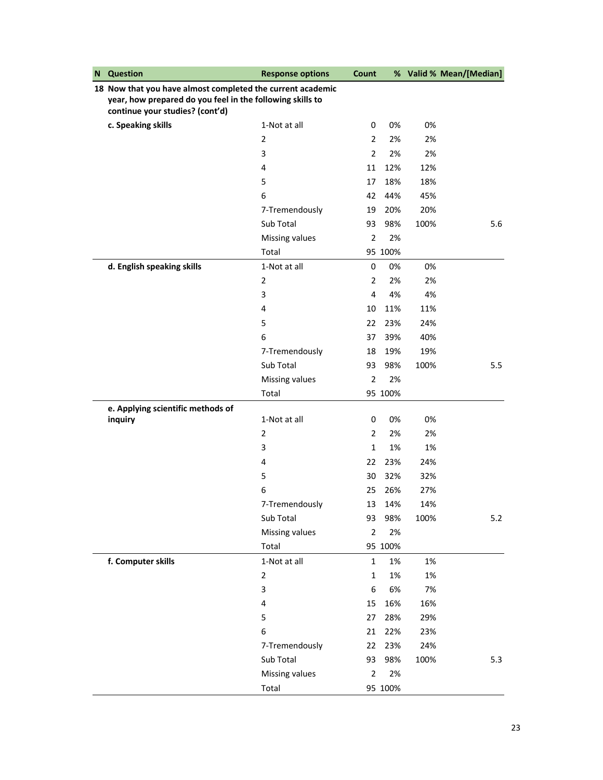| N | <b>Question</b>                                                                                                                                            | <b>Response options</b> | Count          |         |      | % Valid % Mean/[Median] |
|---|------------------------------------------------------------------------------------------------------------------------------------------------------------|-------------------------|----------------|---------|------|-------------------------|
|   | 18 Now that you have almost completed the current academic<br>year, how prepared do you feel in the following skills to<br>continue your studies? (cont'd) |                         |                |         |      |                         |
|   | c. Speaking skills                                                                                                                                         | 1-Not at all            | 0              | 0%      | 0%   |                         |
|   |                                                                                                                                                            | 2                       | $\overline{2}$ | 2%      | 2%   |                         |
|   |                                                                                                                                                            | 3                       | $\overline{2}$ | 2%      | 2%   |                         |
|   |                                                                                                                                                            | 4                       | 11             | 12%     | 12%  |                         |
|   |                                                                                                                                                            | 5                       | 17             | 18%     | 18%  |                         |
|   |                                                                                                                                                            | 6                       | 42             | 44%     | 45%  |                         |
|   |                                                                                                                                                            | 7-Tremendously          | 19             | 20%     | 20%  |                         |
|   |                                                                                                                                                            | Sub Total               | 93             | 98%     | 100% | 5.6                     |
|   |                                                                                                                                                            | Missing values          | $\overline{2}$ | 2%      |      |                         |
|   |                                                                                                                                                            | Total                   |                | 95 100% |      |                         |
|   | d. English speaking skills                                                                                                                                 | 1-Not at all            | 0              | 0%      | 0%   |                         |
|   |                                                                                                                                                            | 2                       | 2              | 2%      | 2%   |                         |
|   |                                                                                                                                                            | 3                       | 4              | 4%      | 4%   |                         |
|   |                                                                                                                                                            | 4                       | 10             | 11%     | 11%  |                         |
|   |                                                                                                                                                            | 5                       | 22             | 23%     | 24%  |                         |
|   |                                                                                                                                                            | 6                       | 37             | 39%     | 40%  |                         |
|   |                                                                                                                                                            | 7-Tremendously          | 18             | 19%     | 19%  |                         |
|   |                                                                                                                                                            | Sub Total               | 93             | 98%     | 100% | 5.5                     |
|   |                                                                                                                                                            | Missing values          | $\overline{2}$ | 2%      |      |                         |
|   |                                                                                                                                                            | Total                   |                | 95 100% |      |                         |
|   | e. Applying scientific methods of                                                                                                                          |                         |                |         |      |                         |
|   | inquiry                                                                                                                                                    | 1-Not at all            | 0              | 0%      | 0%   |                         |
|   |                                                                                                                                                            | $\overline{2}$          | $\overline{2}$ | 2%      | 2%   |                         |
|   |                                                                                                                                                            | 3                       | $\mathbf{1}$   | 1%      | 1%   |                         |
|   |                                                                                                                                                            | 4                       | 22             | 23%     | 24%  |                         |
|   |                                                                                                                                                            | 5                       | 30             | 32%     | 32%  |                         |
|   |                                                                                                                                                            | 6                       | 25             | 26%     | 27%  |                         |
|   |                                                                                                                                                            | 7-Tremendously          | 13             | 14%     | 14%  |                         |
|   |                                                                                                                                                            | Sub Total               | 93             | 98%     | 100% | $5.2$                   |
|   |                                                                                                                                                            | Missing values          | $\overline{2}$ | 2%      |      |                         |
|   |                                                                                                                                                            | Total                   |                | 95 100% |      |                         |
|   | f. Computer skills                                                                                                                                         | 1-Not at all            | $\mathbf{1}$   | 1%      | 1%   |                         |
|   |                                                                                                                                                            | $\overline{2}$          | 1              | 1%      | 1%   |                         |
|   |                                                                                                                                                            | $\mathsf 3$             | 6              | 6%      | 7%   |                         |
|   |                                                                                                                                                            | 4                       | 15             | 16%     | 16%  |                         |
|   |                                                                                                                                                            | 5                       | 27             | 28%     | 29%  |                         |
|   |                                                                                                                                                            | 6                       | 21             | 22%     | 23%  |                         |
|   |                                                                                                                                                            | 7-Tremendously          | 22             | 23%     | 24%  |                         |
|   |                                                                                                                                                            | Sub Total               | 93             | 98%     | 100% | 5.3                     |
|   |                                                                                                                                                            | Missing values          | $\overline{2}$ | 2%      |      |                         |
|   |                                                                                                                                                            | Total                   |                | 95 100% |      |                         |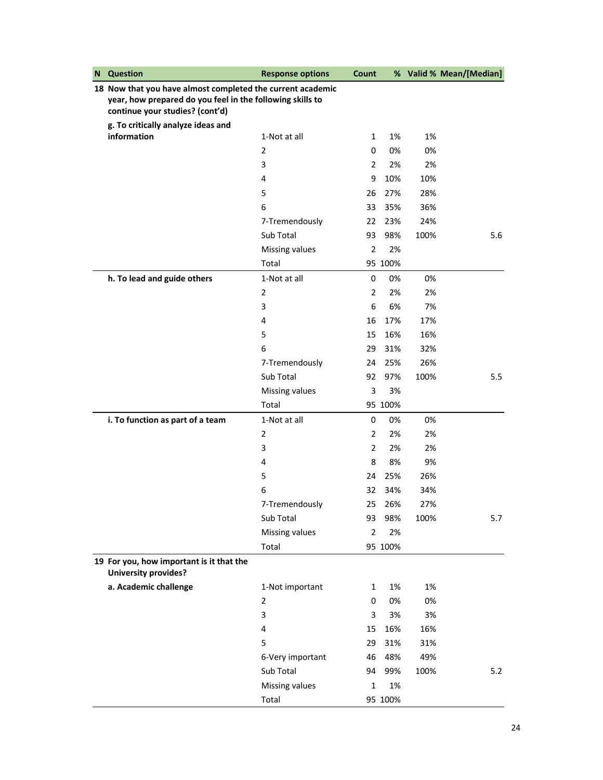| N | Question                                                                                                                                                   | <b>Response options</b> | Count          |         |      | % Valid % Mean/[Median] |
|---|------------------------------------------------------------------------------------------------------------------------------------------------------------|-------------------------|----------------|---------|------|-------------------------|
|   | 18 Now that you have almost completed the current academic<br>year, how prepared do you feel in the following skills to<br>continue your studies? (cont'd) |                         |                |         |      |                         |
|   | g. To critically analyze ideas and                                                                                                                         |                         |                |         |      |                         |
|   | information                                                                                                                                                | 1-Not at all            | $\mathbf{1}$   | 1%      | 1%   |                         |
|   |                                                                                                                                                            | 2                       | 0              | 0%      | 0%   |                         |
|   |                                                                                                                                                            | 3                       | $\overline{2}$ | 2%      | 2%   |                         |
|   |                                                                                                                                                            | 4                       | 9              | 10%     | 10%  |                         |
|   |                                                                                                                                                            | 5                       | 26             | 27%     | 28%  |                         |
|   |                                                                                                                                                            | 6                       | 33             | 35%     | 36%  |                         |
|   |                                                                                                                                                            | 7-Tremendously          | 22             | 23%     | 24%  |                         |
|   |                                                                                                                                                            | Sub Total               | 93             | 98%     | 100% | 5.6                     |
|   |                                                                                                                                                            | Missing values          | $\overline{2}$ | 2%      |      |                         |
|   |                                                                                                                                                            | Total                   |                | 95 100% |      |                         |
|   | h. To lead and guide others                                                                                                                                | 1-Not at all            | 0              | 0%      | 0%   |                         |
|   |                                                                                                                                                            | 2                       | $\overline{2}$ | 2%      | 2%   |                         |
|   |                                                                                                                                                            | 3                       | 6              | 6%      | 7%   |                         |
|   |                                                                                                                                                            | 4                       | 16             | 17%     | 17%  |                         |
|   |                                                                                                                                                            | 5                       | 15             | 16%     | 16%  |                         |
|   |                                                                                                                                                            | 6                       | 29             | 31%     | 32%  |                         |
|   |                                                                                                                                                            | 7-Tremendously          | 24             | 25%     | 26%  |                         |
|   |                                                                                                                                                            | Sub Total               | 92             | 97%     | 100% | 5.5                     |
|   |                                                                                                                                                            | Missing values          | 3              | 3%      |      |                         |
|   |                                                                                                                                                            | Total                   |                | 95 100% |      |                         |
|   | i. To function as part of a team                                                                                                                           | 1-Not at all            | 0              | 0%      | 0%   |                         |
|   |                                                                                                                                                            | 2                       | $\overline{2}$ | 2%      | 2%   |                         |
|   |                                                                                                                                                            | 3                       | $\overline{2}$ | 2%      | 2%   |                         |
|   |                                                                                                                                                            | 4                       | 8              | 8%      | 9%   |                         |
|   |                                                                                                                                                            | 5                       | 24             | 25%     | 26%  |                         |
|   |                                                                                                                                                            | 6                       | 32             | 34%     | 34%  |                         |
|   |                                                                                                                                                            | 7-Tremendously          | 25             | 26%     | 27%  |                         |
|   |                                                                                                                                                            | Sub Total               | 93             | 98%     | 100% | 5.7                     |
|   |                                                                                                                                                            | Missing values          | 2              | 2%      |      |                         |
|   |                                                                                                                                                            | Total                   |                | 95 100% |      |                         |
|   | 19 For you, how important is it that the<br><b>University provides?</b>                                                                                    |                         |                |         |      |                         |
|   | a. Academic challenge                                                                                                                                      | 1-Not important         | $\mathbf{1}$   | 1%      | 1%   |                         |
|   |                                                                                                                                                            | 2                       | 0              | 0%      | 0%   |                         |
|   |                                                                                                                                                            | 3                       | 3              | 3%      | 3%   |                         |
|   |                                                                                                                                                            | 4                       | 15             | 16%     | 16%  |                         |
|   |                                                                                                                                                            | 5                       | 29             | 31%     | 31%  |                         |
|   |                                                                                                                                                            | 6-Very important        | 46             | 48%     | 49%  |                         |
|   |                                                                                                                                                            | Sub Total               | 94             | 99%     | 100% | 5.2                     |
|   |                                                                                                                                                            | Missing values          | $\mathbf{1}$   | 1%      |      |                         |
|   |                                                                                                                                                            | Total                   |                | 95 100% |      |                         |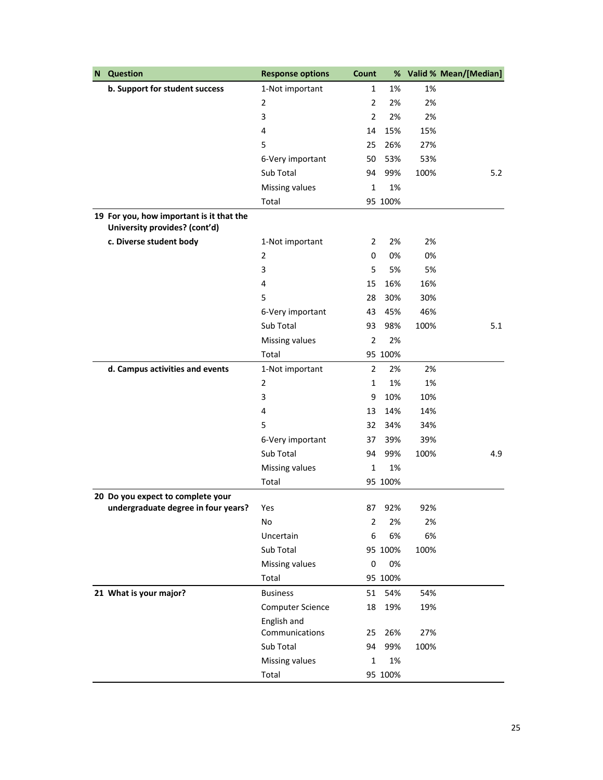| N | <b>Question</b>                                                           | <b>Response options</b>       | Count          | %       |      | Valid % Mean/[Median] |
|---|---------------------------------------------------------------------------|-------------------------------|----------------|---------|------|-----------------------|
|   | b. Support for student success                                            | 1-Not important               | $\mathbf{1}$   | 1%      | 1%   |                       |
|   |                                                                           | $\overline{2}$                | $\overline{2}$ | 2%      | 2%   |                       |
|   |                                                                           | 3                             | $\overline{2}$ | 2%      | 2%   |                       |
|   |                                                                           | 4                             | 14             | 15%     | 15%  |                       |
|   |                                                                           | 5                             | 25             | 26%     | 27%  |                       |
|   |                                                                           | 6-Very important              | 50             | 53%     | 53%  |                       |
|   |                                                                           | Sub Total                     | 94             | 99%     | 100% | 5.2                   |
|   |                                                                           | Missing values                | 1              | 1%      |      |                       |
|   |                                                                           | Total                         |                | 95 100% |      |                       |
|   | 19 For you, how important is it that the<br>University provides? (cont'd) |                               |                |         |      |                       |
|   | c. Diverse student body                                                   | 1-Not important               | 2              | 2%      | 2%   |                       |
|   |                                                                           | $\overline{2}$                | 0              | 0%      | 0%   |                       |
|   |                                                                           | 3                             | 5              | 5%      | 5%   |                       |
|   |                                                                           | 4                             | 15             | 16%     | 16%  |                       |
|   |                                                                           | 5                             | 28             | 30%     | 30%  |                       |
|   |                                                                           | 6-Very important              | 43             | 45%     | 46%  |                       |
|   |                                                                           | Sub Total                     | 93             | 98%     | 100% | 5.1                   |
|   |                                                                           | Missing values                | $\overline{2}$ | 2%      |      |                       |
|   |                                                                           | Total                         |                | 95 100% |      |                       |
|   | d. Campus activities and events                                           | 1-Not important               | 2              | 2%      | 2%   |                       |
|   |                                                                           | $\overline{2}$                | $\mathbf{1}$   | 1%      | 1%   |                       |
|   |                                                                           | 3                             | 9              | 10%     | 10%  |                       |
|   |                                                                           | 4                             | 13             | 14%     | 14%  |                       |
|   |                                                                           | 5                             | 32             | 34%     | 34%  |                       |
|   |                                                                           | 6-Very important              | 37             | 39%     | 39%  |                       |
|   |                                                                           | Sub Total                     | 94             | 99%     | 100% | 4.9                   |
|   |                                                                           | Missing values                | $\mathbf{1}$   | 1%      |      |                       |
|   |                                                                           | Total                         |                | 95 100% |      |                       |
|   | 20 Do you expect to complete your                                         |                               |                |         |      |                       |
|   | undergraduate degree in four years?                                       | Yes                           | 87             | 92%     | 92%  |                       |
|   |                                                                           | No                            | 2              | 2%      | 2%   |                       |
|   |                                                                           | Uncertain                     | 6              | 6%      | 6%   |                       |
|   |                                                                           | Sub Total                     |                | 95 100% | 100% |                       |
|   |                                                                           | Missing values                | 0              | 0%      |      |                       |
|   |                                                                           | Total                         |                | 95 100% |      |                       |
|   | 21 What is your major?                                                    | <b>Business</b>               | 51             | 54%     | 54%  |                       |
|   |                                                                           | <b>Computer Science</b>       | 18             | 19%     | 19%  |                       |
|   |                                                                           | English and<br>Communications | 25             | 26%     | 27%  |                       |
|   |                                                                           | Sub Total                     | 94             | 99%     | 100% |                       |
|   |                                                                           | Missing values                | 1              | 1%      |      |                       |
|   |                                                                           | Total                         |                | 95 100% |      |                       |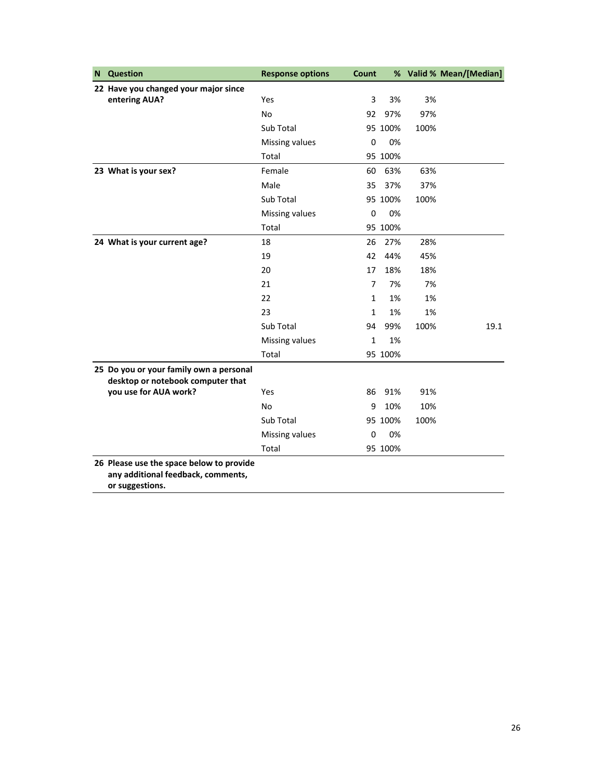| <b>Question</b><br>N                                                                              | <b>Response options</b> | Count        |         |      | % Valid % Mean/[Median] |
|---------------------------------------------------------------------------------------------------|-------------------------|--------------|---------|------|-------------------------|
| 22 Have you changed your major since                                                              |                         |              |         |      |                         |
| entering AUA?                                                                                     | Yes                     | 3            | 3%      | 3%   |                         |
|                                                                                                   | <b>No</b>               | 92           | 97%     | 97%  |                         |
|                                                                                                   | Sub Total               |              | 95 100% | 100% |                         |
|                                                                                                   | Missing values          | 0            | 0%      |      |                         |
|                                                                                                   | Total                   |              | 95 100% |      |                         |
| 23 What is your sex?                                                                              | Female                  | 60           | 63%     | 63%  |                         |
|                                                                                                   | Male                    | 35           | 37%     | 37%  |                         |
|                                                                                                   | Sub Total               |              | 95 100% | 100% |                         |
|                                                                                                   | Missing values          | $\mathbf 0$  | 0%      |      |                         |
|                                                                                                   | Total                   |              | 95 100% |      |                         |
| 24 What is your current age?                                                                      | 18                      | 26           | 27%     | 28%  |                         |
|                                                                                                   | 19                      | 42           | 44%     | 45%  |                         |
|                                                                                                   | 20                      | 17           | 18%     | 18%  |                         |
|                                                                                                   | 21                      | 7            | 7%      | 7%   |                         |
|                                                                                                   | 22                      | $\mathbf{1}$ | 1%      | 1%   |                         |
|                                                                                                   | 23                      | 1            | 1%      | 1%   |                         |
|                                                                                                   | Sub Total               | 94           | 99%     | 100% | 19.1                    |
|                                                                                                   | Missing values          | $\mathbf{1}$ | 1%      |      |                         |
|                                                                                                   | Total                   |              | 95 100% |      |                         |
| 25 Do you or your family own a personal<br>desktop or notebook computer that                      |                         |              |         |      |                         |
| you use for AUA work?                                                                             | Yes                     | 86           | 91%     | 91%  |                         |
|                                                                                                   | <b>No</b>               | 9            | 10%     | 10%  |                         |
|                                                                                                   | Sub Total               |              | 95 100% | 100% |                         |
|                                                                                                   | Missing values          | 0            | 0%      |      |                         |
|                                                                                                   | Total                   |              | 95 100% |      |                         |
| 26 Please use the space below to provide<br>any additional feedback, comments,<br>or suggestions. |                         |              |         |      |                         |